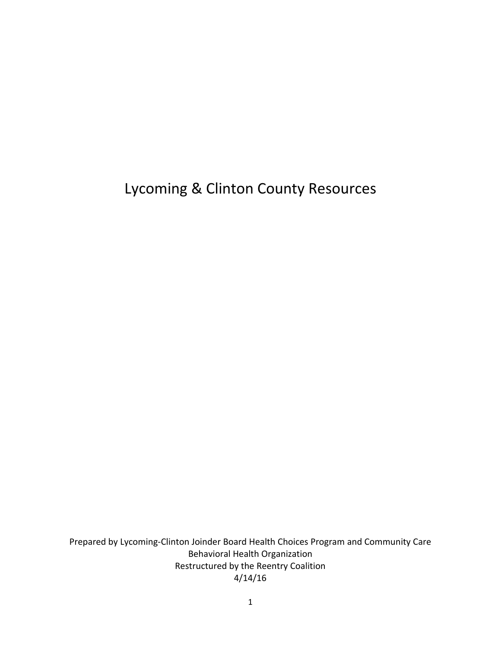Lycoming & Clinton County Resources

Prepared by Lycoming-Clinton Joinder Board Health Choices Program and Community Care Behavioral Health Organization Restructured by the Reentry Coalition 4/14/16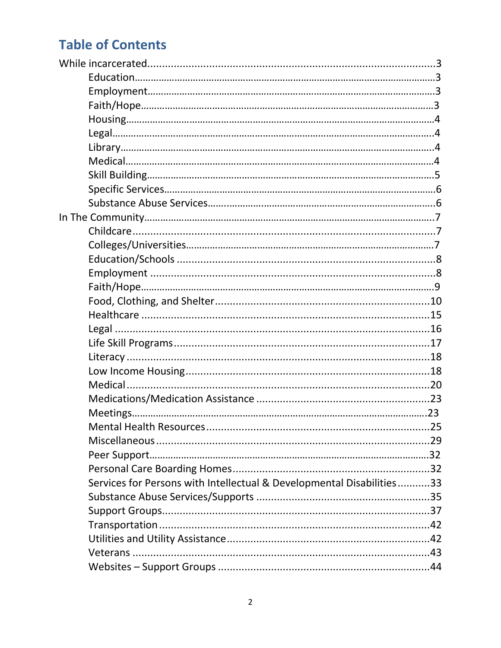# **Table of Contents**

| Services for Persons with Intellectual & Developmental Disabilities33 |  |
|-----------------------------------------------------------------------|--|
|                                                                       |  |
|                                                                       |  |
|                                                                       |  |
|                                                                       |  |
|                                                                       |  |
|                                                                       |  |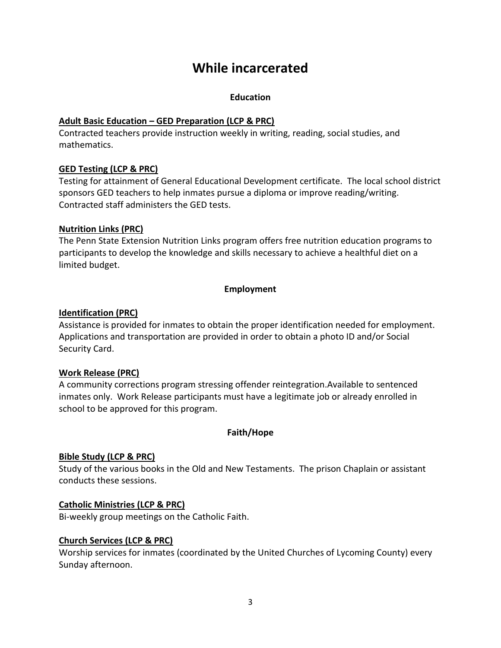## **While incarcerated**

#### **Education**

#### **Adult Basic Education – GED Preparation (LCP & PRC)**

Contracted teachers provide instruction weekly in writing, reading, social studies, and mathematics.

#### **GED Testing (LCP & PRC)**

Testing for attainment of General Educational Development certificate. The local school district sponsors GED teachers to help inmates pursue a diploma or improve reading/writing. Contracted staff administers the GED tests.

#### **Nutrition Links (PRC)**

The Penn State Extension Nutrition Links program offers free nutrition education programs to participants to develop the knowledge and skills necessary to achieve a healthful diet on a limited budget.

#### **Employment**

#### **Identification (PRC)**

Assistance is provided for inmates to obtain the proper identification needed for employment. Applications and transportation are provided in order to obtain a photo ID and/or Social Security Card.

#### **Work Release (PRC)**

A community corrections program stressing offender reintegration.Available to sentenced inmates only. Work Release participants must have a legitimate job or already enrolled in school to be approved for this program.

#### **Faith/Hope**

#### **Bible Study (LCP & PRC)**

Study of the various books in the Old and New Testaments. The prison Chaplain or assistant conducts these sessions.

#### **Catholic Ministries (LCP & PRC)**

Bi-weekly group meetings on the Catholic Faith.

#### **Church Services (LCP & PRC)**

Worship services for inmates (coordinated by the United Churches of Lycoming County) every Sunday afternoon.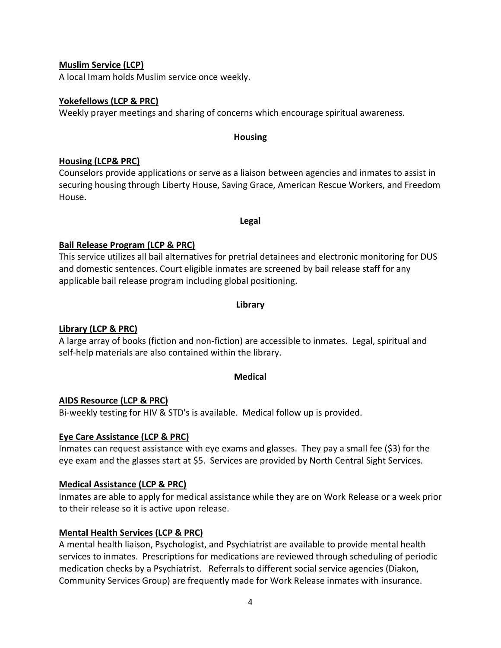#### **Muslim Service (LCP)**

A local Imam holds Muslim service once weekly.

#### **Yokefellows (LCP & PRC)**

Weekly prayer meetings and sharing of concerns which encourage spiritual awareness.

#### **Housing**

#### **Housing (LCP& PRC)**

Counselors provide applications or serve as a liaison between agencies and inmates to assist in securing housing through Liberty House, Saving Grace, American Rescue Workers, and Freedom House.

#### **Legal**

### **Bail Release Program (LCP & PRC)**

This service utilizes all bail alternatives for pretrial detainees and electronic monitoring for DUS and domestic sentences. Court eligible inmates are screened by bail release staff for any applicable bail release program including global positioning.

#### **Library**

### **Library (LCP & PRC)**

A large array of books (fiction and non-fiction) are accessible to inmates. Legal, spiritual and self-help materials are also contained within the library.

#### **Medical**

#### **AIDS Resource (LCP & PRC)**

Bi-weekly testing for HIV & STD's is available. Medical follow up is provided.

#### **Eye Care Assistance (LCP & PRC)**

Inmates can request assistance with eye exams and glasses. They pay a small fee (\$3) for the eye exam and the glasses start at \$5. Services are provided by North Central Sight Services.

#### **Medical Assistance (LCP & PRC)**

Inmates are able to apply for medical assistance while they are on Work Release or a week prior to their release so it is active upon release.

#### **Mental Health Services (LCP & PRC)**

A mental health liaison, Psychologist, and Psychiatrist are available to provide mental health services to inmates. Prescriptions for medications are reviewed through scheduling of periodic medication checks by a Psychiatrist. Referrals to different social service agencies (Diakon, Community Services Group) are frequently made for Work Release inmates with insurance.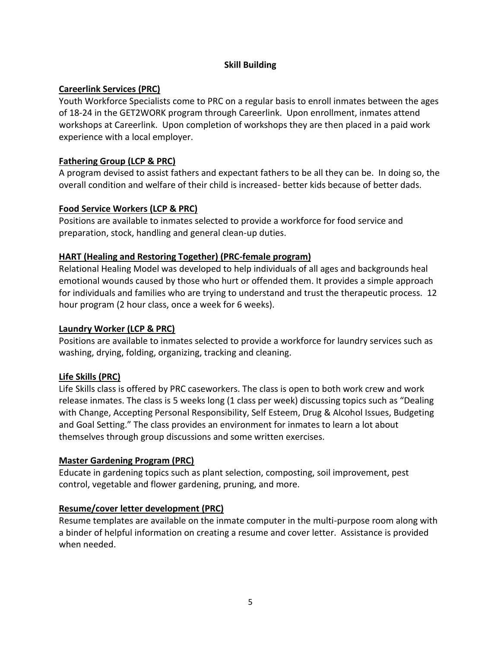### **Skill Building**

### **Careerlink Services (PRC)**

Youth Workforce Specialists come to PRC on a regular basis to enroll inmates between the ages of 18-24 in the GET2WORK program through Careerlink. Upon enrollment, inmates attend workshops at Careerlink. Upon completion of workshops they are then placed in a paid work experience with a local employer.

### **Fathering Group (LCP & PRC)**

A program devised to assist fathers and expectant fathers to be all they can be. In doing so, the overall condition and welfare of their child is increased- better kids because of better dads.

### **Food Service Workers (LCP & PRC)**

Positions are available to inmates selected to provide a workforce for food service and preparation, stock, handling and general clean-up duties.

### **HART (Healing and Restoring Together) (PRC-female program)**

Relational Healing Model was developed to help individuals of all ages and backgrounds heal emotional wounds caused by those who hurt or offended them. It provides a simple approach for individuals and families who are trying to understand and trust the therapeutic process. 12 hour program (2 hour class, once a week for 6 weeks).

### **Laundry Worker (LCP & PRC)**

Positions are available to inmates selected to provide a workforce for laundry services such as washing, drying, folding, organizing, tracking and cleaning.

### **Life Skills (PRC)**

Life Skills class is offered by PRC caseworkers. The class is open to both work crew and work release inmates. The class is 5 weeks long (1 class per week) discussing topics such as "Dealing with Change, Accepting Personal Responsibility, Self Esteem, Drug & Alcohol Issues, Budgeting and Goal Setting." The class provides an environment for inmates to learn a lot about themselves through group discussions and some written exercises.

### **Master Gardening Program (PRC)**

Educate in gardening topics such as plant selection, composting, soil improvement, pest control, vegetable and flower gardening, pruning, and more.

### **Resume/cover letter development (PRC)**

Resume templates are available on the inmate computer in the multi-purpose room along with a binder of helpful information on creating a resume and cover letter. Assistance is provided when needed.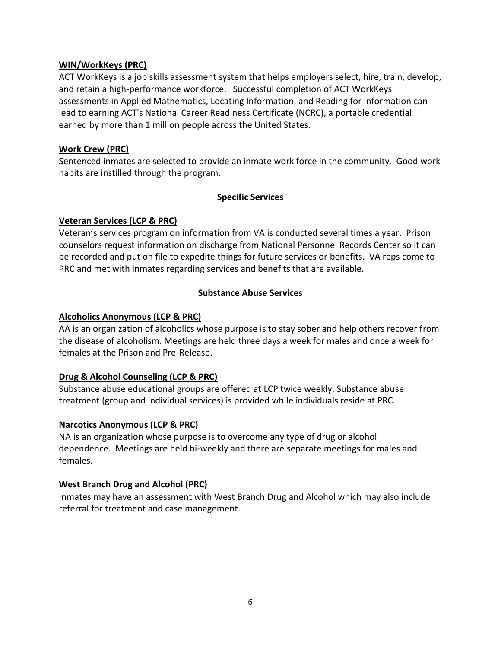#### **WIN/WorkKeys (PRC)**

ACT WorkKeys is a job skills assessment system that helps employers select, hire, train, develop, and retain a high-performance workforce. Successful completion of ACT WorkKeys assessments in Applied Mathematics, Locating Information, and Reading for Information can lead to earning ACT's National Career Readiness Certificate (NCRC), a portable credential earned by more than 1 million people across the United States.

### **Work Crew (PRC)**

Sentenced inmates are selected to provide an inmate work force in the community. Good work habits are instilled through the program.

#### **Specific Services**

### **Veteran Services (LCP & PRC)**

Veteran's services program on information from VA is conducted several times a year. Prison counselors request information on discharge from National Personnel Records Center so it can be recorded and put on file to expedite things for future services or benefits. VA reps come to PRC and met with inmates regarding services and benefits that are available.

#### **Substance Abuse Services**

#### **Alcoholics Anonymous (LCP & PRC)**

AA is an organization of alcoholics whose purpose is to stay sober and help others recover from the disease of alcoholism. Meetings are held three days a week for males and once a week for females at the Prison and Pre-Release.

### **Drug & Alcohol Counseling (LCP & PRC)**

Substance abuse educational groups are offered at LCP twice weekly. Substance abuse treatment (group and individual services) is provided while individuals reside at PRC.

#### **Narcotics Anonymous (LCP & PRC)**

NA is an organization whose purpose is to overcome any type of drug or alcohol dependence. Meetings are held bi-weekly and there are separate meetings for males and females.

#### **West Branch Drug and Alcohol (PRC)**

Inmates may have an assessment with West Branch Drug and Alcohol which may also include referral for treatment and case management.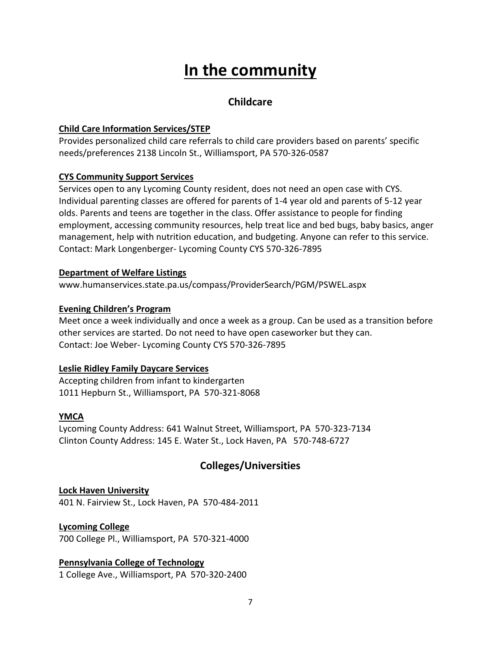# **In the community**

### **Childcare**

#### **Child Care Information Services/STEP**

Provides personalized child care referrals to child care providers based on parents' specific needs/preferences 2138 Lincoln St., Williamsport, PA 570-326-0587

#### **CYS Community Support Services**

Services open to any Lycoming County resident, does not need an open case with CYS. Individual parenting classes are offered for parents of 1-4 year old and parents of 5-12 year olds. Parents and teens are together in the class. Offer assistance to people for finding employment, accessing community resources, help treat lice and bed bugs, baby basics, anger management, help with nutrition education, and budgeting. Anyone can refer to this service. Contact: Mark Longenberger- Lycoming County CYS 570-326-7895

#### **Department of Welfare Listings**

www.humanservices.state.pa.us/compass/ProviderSearch/PGM/PSWEL.aspx

#### **Evening Children's Program**

Meet once a week individually and once a week as a group. Can be used as a transition before other services are started. Do not need to have open caseworker but they can. Contact: Joe Weber- Lycoming County CYS 570-326-7895

#### **Leslie Ridley Family Daycare Services**

Accepting children from infant to kindergarten 1011 Hepburn St., Williamsport, PA 570-321-8068

#### **YMCA**

Lycoming County Address: 641 Walnut Street, Williamsport, PA 570-323-7134 Clinton County Address: 145 E. Water St., Lock Haven, PA 570-748-6727

### **Colleges/Universities**

**Lock Haven University** 401 N. Fairview St., Lock Haven, PA 570-484-2011

#### **Lycoming College**

700 College Pl., Williamsport, PA 570-321-4000

### **Pennsylvania College of Technology**

1 College Ave., Williamsport, PA 570-320-2400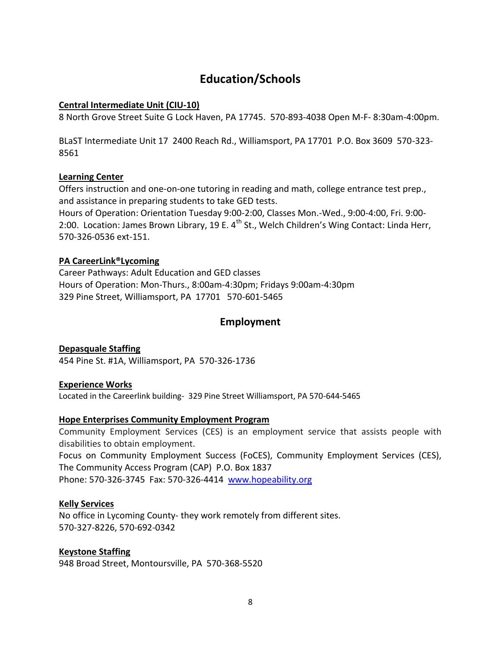## **Education/Schools**

### **Central Intermediate Unit (CIU-10)**

8 North Grove Street Suite G Lock Haven, PA 17745. 570-893-4038 Open M-F- 8:30am-4:00pm.

BLaST Intermediate Unit 17 2400 Reach Rd., Williamsport, PA 17701 P.O. Box 3609 570-323- 8561

#### **Learning Center**

Offers instruction and one-on-one tutoring in reading and math, college entrance test prep., and assistance in preparing students to take GED tests.

Hours of Operation: Orientation Tuesday 9:00-2:00, Classes Mon.-Wed., 9:00-4:00, Fri. 9:00- 2:00. Location: James Brown Library, 19 E. 4<sup>th</sup> St., Welch Children's Wing Contact: Linda Herr, 570-326-0536 ext-151.

### **PA CareerLink®Lycoming**

Career Pathways: Adult Education and GED classes Hours of Operation: Mon-Thurs., 8:00am-4:30pm; Fridays 9:00am-4:30pm 329 Pine Street, Williamsport, PA 17701 570-601-5465

### **Employment**

### **Depasquale Staffing**

454 Pine St. #1A, Williamsport, PA 570-326-1736

#### **Experience Works**

Located in the Careerlink building- 329 Pine Street Williamsport, PA 570-644-5465

### **Hope Enterprises Community Employment Program**

Community Employment Services (CES) is an employment service that assists people with disabilities to obtain employment. Focus on Community Employment Success (FoCES), Community Employment Services (CES), The Community Access Program (CAP) P.O. Box 1837

Phone: 570-326-3745 Fax: 570-326-4414 [www.hopeability.org](http://www.hopeability.org/)

#### **Kelly Services**

No office in Lycoming County- they work remotely from different sites. 570-327-8226, 570-692-0342

#### **Keystone Staffing**

948 Broad Street, Montoursville, PA 570-368-5520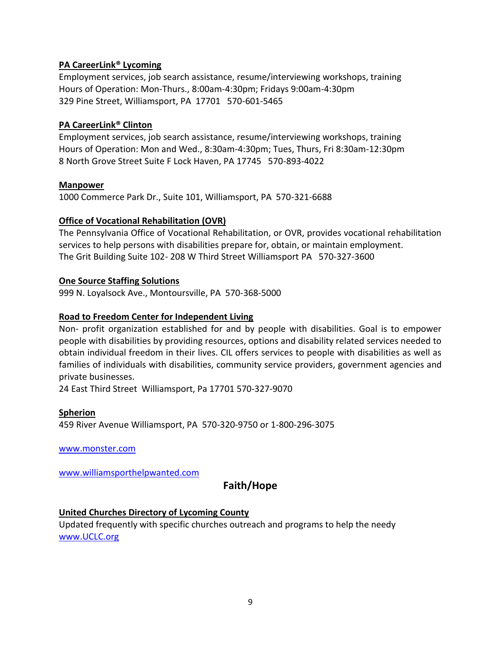#### **PA CareerLink® Lycoming**

Employment services, job search assistance, resume/interviewing workshops, training Hours of Operation: Mon-Thurs., 8:00am-4:30pm; Fridays 9:00am-4:30pm 329 Pine Street, Williamsport, PA 17701 570-601-5465

#### **PA CareerLink® Clinton**

Employment services, job search assistance, resume/interviewing workshops, training Hours of Operation: Mon and Wed., 8:30am-4:30pm; Tues, Thurs, Fri 8:30am-12:30pm 8 North Grove Street Suite F Lock Haven, PA 17745 570-893-4022

#### **Manpower**

1000 Commerce Park Dr., Suite 101, Williamsport, PA 570-321-6688

### **Office of Vocational Rehabilitation (OVR)**

The Pennsylvania Office of Vocational Rehabilitation, or OVR, provides vocational rehabilitation services to help persons with disabilities prepare for, obtain, or maintain employment. The Grit Building Suite 102- 208 W Third Street Williamsport PA 570-327-3600

#### **One Source Staffing Solutions**

999 N. Loyalsock Ave., Montoursville, PA 570-368-5000

#### **Road to Freedom Center for Independent Living**

Non- profit organization established for and by people with disabilities. Goal is to empower people with disabilities by providing resources, options and disability related services needed to obtain individual freedom in their lives. CIL offers services to people with disabilities as well as families of individuals with disabilities, community service providers, government agencies and private businesses.

24 East Third Street Williamsport, Pa 17701 570-327-9070

#### **Spherion**

459 River Avenue Williamsport, PA 570-320-9750 or 1-800-296-3075

[www.monster.com](http://www.monster.com/)

[www.williamsporthelpwanted.com](http://www.williamsporthelpwanted.com/)

### **Faith/Hope**

### **United Churches Directory of Lycoming County**

Updated frequently with specific churches outreach and programs to help the needy [www.UCLC.org](http://www.uclc.org/)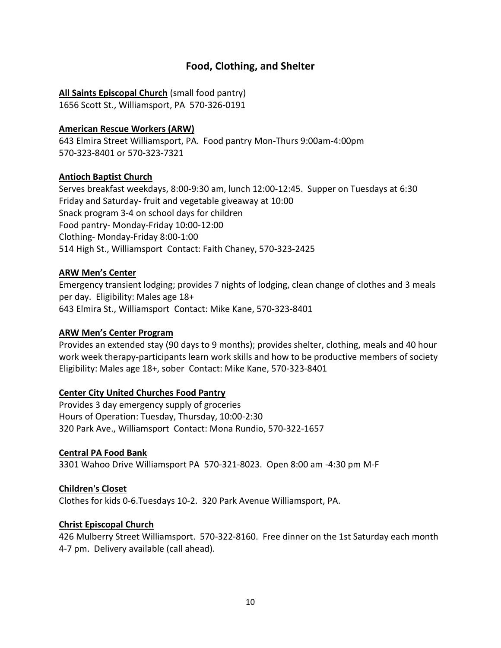### **Food, Clothing, and Shelter**

### **All Saints Episcopal Church** (small food pantry)

1656 Scott St., Williamsport, PA 570-326-0191

### **American Rescue Workers (ARW)**

643 Elmira Street Williamsport, PA. Food pantry Mon-Thurs 9:00am-4:00pm 570-323-8401 or 570-323-7321

### **Antioch Baptist Church**

Serves breakfast weekdays, 8:00-9:30 am, lunch 12:00-12:45. Supper on Tuesdays at 6:30 Friday and Saturday- fruit and vegetable giveaway at 10:00 Snack program 3-4 on school days for children Food pantry- Monday-Friday 10:00-12:00 Clothing- Monday-Friday 8:00-1:00 514 High St., Williamsport Contact: Faith Chaney, 570-323-2425

### **ARW Men's Center**

Emergency transient lodging; provides 7 nights of lodging, clean change of clothes and 3 meals per day. Eligibility: Males age 18+ 643 Elmira St., Williamsport Contact: Mike Kane, 570-323-8401

### **ARW Men's Center Program**

Provides an extended stay (90 days to 9 months); provides shelter, clothing, meals and 40 hour work week therapy-participants learn work skills and how to be productive members of society Eligibility: Males age 18+, sober Contact: Mike Kane, 570-323-8401

### **Center City United Churches Food Pantry**

Provides 3 day emergency supply of groceries Hours of Operation: Tuesday, Thursday, 10:00-2:30 320 Park Ave., Williamsport Contact: Mona Rundio, 570-322-1657

### **Central PA Food Bank**

3301 Wahoo Drive Williamsport PA 570-321-8023. Open 8:00 am -4:30 pm M-F

### **Children's Closet**

Clothes for kids 0-6.Tuesdays 10-2. 320 Park Avenue Williamsport, PA.

### **Christ Episcopal Church**

426 Mulberry Street Williamsport. 570-322-8160. Free dinner on the 1st Saturday each month 4-7 pm. Delivery available (call ahead).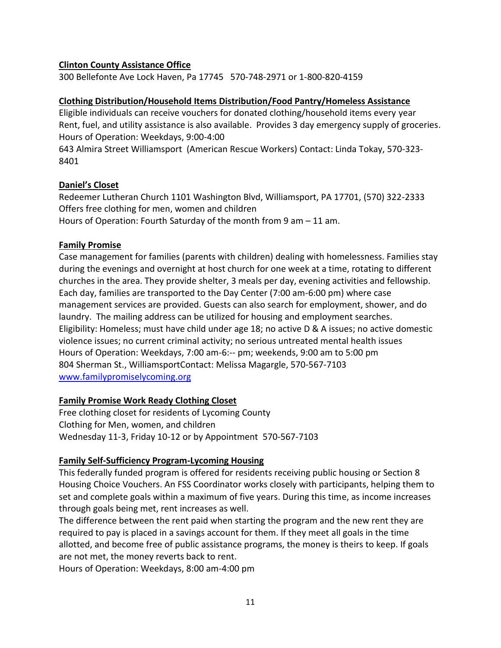### **Clinton County Assistance Office**

300 Bellefonte Ave Lock Haven, Pa 17745 570-748-2971 or 1-800-820-4159

### **Clothing Distribution/Household Items Distribution/Food Pantry/Homeless Assistance**

Eligible individuals can receive vouchers for donated clothing/household items every year Rent, fuel, and utility assistance is also available. Provides 3 day emergency supply of groceries. Hours of Operation: Weekdays, 9:00-4:00

643 Almira Street Williamsport (American Rescue Workers) Contact: Linda Tokay, 570-323- 8401

### **Daniel's Closet**

Redeemer Lutheran Church 1101 Washington Blvd, Williamsport, PA 17701, (570) 322-2333 Offers free clothing for men, women and children Hours of Operation: Fourth Saturday of the month from 9 am – 11 am.

### **Family Promise**

Case management for families (parents with children) dealing with homelessness. Families stay during the evenings and overnight at host church for one week at a time, rotating to different churches in the area. They provide shelter, 3 meals per day, evening activities and fellowship. Each day, families are transported to the Day Center (7:00 am-6:00 pm) where case management services are provided. Guests can also search for employment, shower, and do laundry. The mailing address can be utilized for housing and employment searches. Eligibility: Homeless; must have child under age 18; no active D & A issues; no active domestic violence issues; no current criminal activity; no serious untreated mental health issues Hours of Operation: Weekdays, 7:00 am-6:-- pm; weekends, 9:00 am to 5:00 pm 804 Sherman St., WilliamsportContact: Melissa Magargle, 570-567-7103 [www.familypromiselycoming.org](http://www.familypromiselycoming.org/)

### **Family Promise Work Ready Clothing Closet**

Free clothing closet for residents of Lycoming County Clothing for Men, women, and children Wednesday 11-3, Friday 10-12 or by Appointment 570-567-7103

### **Family Self-Sufficiency Program-Lycoming Housing**

This federally funded program is offered for residents receiving public housing or Section 8 Housing Choice Vouchers. An FSS Coordinator works closely with participants, helping them to set and complete goals within a maximum of five years. During this time, as income increases through goals being met, rent increases as well.

The difference between the rent paid when starting the program and the new rent they are required to pay is placed in a savings account for them. If they meet all goals in the time allotted, and become free of public assistance programs, the money is theirs to keep. If goals are not met, the money reverts back to rent.

Hours of Operation: Weekdays, 8:00 am-4:00 pm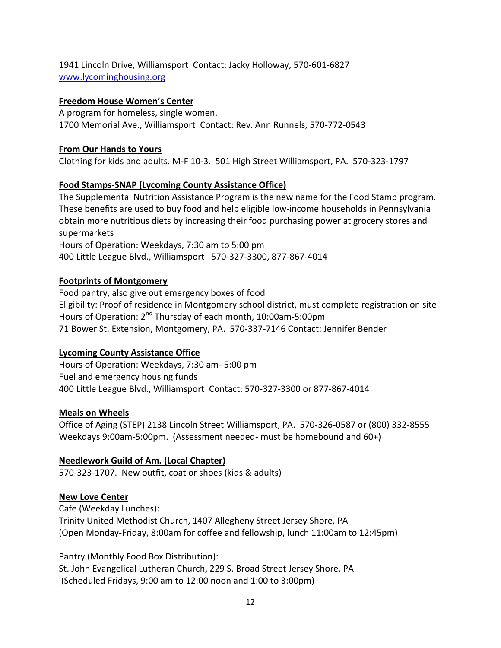1941 Lincoln Drive, Williamsport Contact: Jacky Holloway, 570-601-6827 [www.lycominghousing.org](http://www.lycominghousing.org/)

### **Freedom House Women's Center**

A program for homeless, single women. 1700 Memorial Ave., Williamsport Contact: Rev. Ann Runnels, 570-772-0543

#### **From Our Hands to Yours**

Clothing for kids and adults. M-F 10-3. 501 High Street Williamsport, PA. 570-323-1797

### **Food Stamps-SNAP (Lycoming County Assistance Office)**

The Supplemental Nutrition Assistance Program is the new name for the Food Stamp program. These benefits are used to buy food and help eligible low-income households in Pennsylvania obtain more nutritious diets by increasing their food purchasing power at grocery stores and supermarkets Hours of Operation: Weekdays, 7:30 am to 5:00 pm 400 Little League Blvd., Williamsport 570-327-3300, 877-867-4014

### **Footprints of Montgomery**

Food pantry, also give out emergency boxes of food Eligibility: Proof of residence in Montgomery school district, must complete registration on site Hours of Operation: 2<sup>nd</sup> Thursday of each month, 10:00am-5:00pm 71 Bower St. Extension, Montgomery, PA. 570-337-7146 Contact: Jennifer Bender

### **Lycoming County Assistance Office**

Hours of Operation: Weekdays, 7:30 am- 5:00 pm Fuel and emergency housing funds 400 Little League Blvd., Williamsport Contact: 570-327-3300 or 877-867-4014

### **Meals on Wheels**

Office of Aging (STEP) 2138 Lincoln Street Williamsport, PA. 570-326-0587 or (800) 332-8555 Weekdays 9:00am-5:00pm. (Assessment needed- must be homebound and 60+)

### **Needlework Guild of Am. (Local Chapter)**

570-323-1707. New outfit, coat or shoes (kids & adults)

### **New Love Center**

Cafe (Weekday Lunches): Trinity United Methodist Church, 1407 Allegheny Street Jersey Shore, PA (Open Monday-Friday, 8:00am for coffee and fellowship, lunch 11:00am to 12:45pm)

Pantry (Monthly Food Box Distribution):

St. John Evangelical Lutheran Church, 229 S. Broad Street Jersey Shore, PA (Scheduled Fridays, 9:00 am to 12:00 noon and 1:00 to 3:00pm)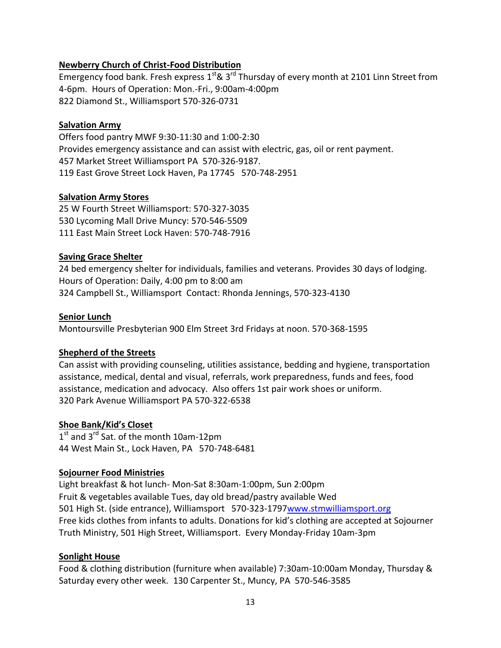### **Newberry Church of Christ-Food Distribution**

Emergency food bank. Fresh express  $1^{st}$ &  $3^{rd}$  Thursday of every month at 2101 Linn Street from 4-6pm. Hours of Operation: Mon.-Fri., 9:00am-4:00pm 822 Diamond St., Williamsport 570-326-0731

### **Salvation Army**

Offers food pantry MWF 9:30-11:30 and 1:00-2:30 Provides emergency assistance and can assist with electric, gas, oil or rent payment. 457 Market Street Williamsport PA 570-326-9187. 119 East Grove Street Lock Haven, Pa 17745 570-748-2951

#### **Salvation Army Stores**

25 W Fourth Street Williamsport: 570-327-3035 530 Lycoming Mall Drive Muncy: 570-546-5509 111 East Main Street Lock Haven: 570-748-7916

#### **Saving Grace Shelter**

24 bed emergency shelter for individuals, families and veterans. Provides 30 days of lodging. Hours of Operation: Daily, 4:00 pm to 8:00 am 324 Campbell St., Williamsport Contact: Rhonda Jennings, 570-323-4130

#### **Senior Lunch**

Montoursville Presbyterian 900 Elm Street 3rd Fridays at noon. 570-368-1595

### **Shepherd of the Streets**

Can assist with providing counseling, utilities assistance, bedding and hygiene, transportation assistance, medical, dental and visual, referrals, work preparedness, funds and fees, food assistance, medication and advocacy. Also offers 1st pair work shoes or uniform. 320 Park Avenue Williamsport PA 570-322-6538

#### **Shoe Bank/Kid's Closet**

1<sup>st</sup> and 3<sup>rd</sup> Sat. of the month 10am-12pm 44 West Main St., Lock Haven, PA 570-748-6481

#### **Sojourner Food Ministries**

Light breakfast & hot lunch- Mon-Sat 8:30am-1:00pm, Sun 2:00pm Fruit & vegetables available Tues, day old bread/pastry available Wed 501 High St. (side entrance), Williamsport 570-323-179[7www.stmwilliamsport.org](http://www.stmwilliamsport.org/) Free kids clothes from infants to adults. Donations for kid's clothing are accepted at Sojourner Truth Ministry, 501 High Street, Williamsport. Every Monday-Friday 10am-3pm

#### **Sonlight House**

Food & clothing distribution (furniture when available) 7:30am-10:00am Monday, Thursday & Saturday every other week. 130 Carpenter St., Muncy, PA 570-546-3585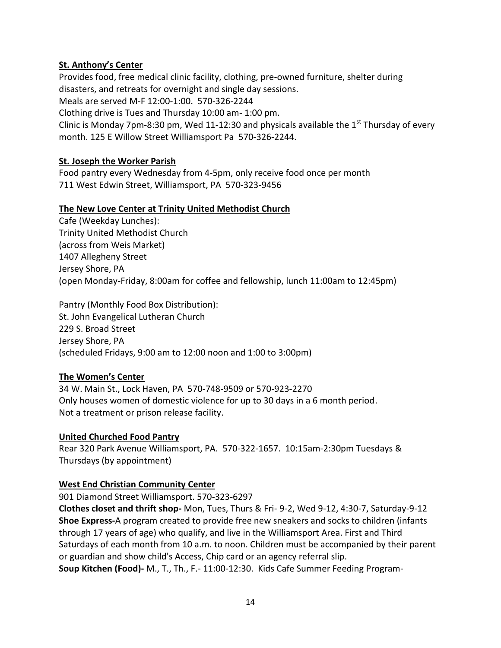#### **St. Anthony's Center**

Provides food, free medical clinic facility, clothing, pre-owned furniture, shelter during disasters, and retreats for overnight and single day sessions. Meals are served M-F 12:00-1:00. 570-326-2244 Clothing drive is Tues and Thursday 10:00 am- 1:00 pm. Clinic is Monday 7pm-8:30 pm, Wed 11-12:30 and physicals available the 1<sup>st</sup> Thursday of every month. 125 E Willow Street Williamsport Pa 570-326-2244.

#### **St. Joseph the Worker Parish**

Food pantry every Wednesday from 4-5pm, only receive food once per month 711 West Edwin Street, Williamsport, PA 570-323-9456

#### **The New Love Center at Trinity United Methodist Church**

Cafe (Weekday Lunches): Trinity United Methodist Church (across from Weis Market) 1407 Allegheny Street Jersey Shore, PA (open Monday-Friday, 8:00am for coffee and fellowship, lunch 11:00am to 12:45pm)

Pantry (Monthly Food Box Distribution): St. John Evangelical Lutheran Church 229 S. Broad Street Jersey Shore, PA (scheduled Fridays, 9:00 am to 12:00 noon and 1:00 to 3:00pm)

#### **The Women's Center**

34 W. Main St., Lock Haven, PA 570-748-9509 or 570-923-2270 Only houses women of domestic violence for up to 30 days in a 6 month period. Not a treatment or prison release facility.

### **United Churched Food Pantry**

Rear 320 Park Avenue Williamsport, PA. 570-322-1657. 10:15am-2:30pm Tuesdays & Thursdays (by appointment)

### **West End Christian Community Center**

901 Diamond Street Williamsport. 570-323-6297

**Clothes closet and thrift shop-** Mon, Tues, Thurs & Fri- 9-2, Wed 9-12, 4:30-7, Saturday-9-12 **Shoe Express-**A program created to provide free new sneakers and socks to children (infants through 17 years of age) who qualify, and live in the Williamsport Area. First and Third Saturdays of each month from 10 a.m. to noon. Children must be accompanied by their parent or guardian and show child's Access, Chip card or an agency referral slip. **Soup Kitchen (Food)-** M., T., Th., F.- 11:00-12:30. Kids Cafe Summer Feeding Program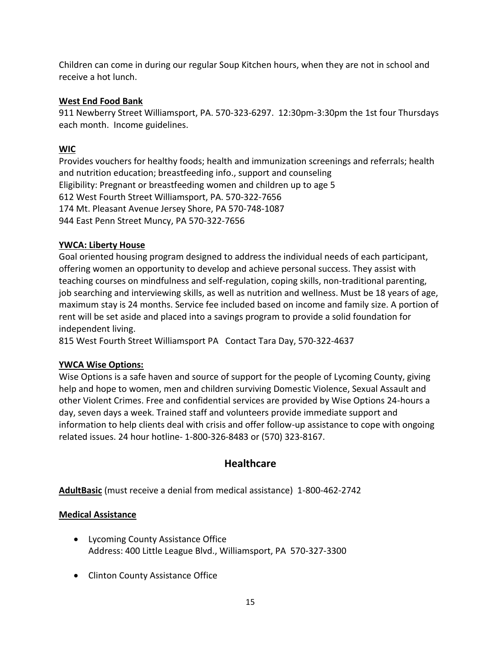Children can come in during our regular Soup Kitchen hours, when they are not in school and receive a hot lunch.

### **West End Food Bank**

911 Newberry Street Williamsport, PA. 570-323-6297. 12:30pm-3:30pm the 1st four Thursdays each month. Income guidelines.

### **WIC**

Provides vouchers for healthy foods; health and immunization screenings and referrals; health and nutrition education; breastfeeding info., support and counseling Eligibility: Pregnant or breastfeeding women and children up to age 5 612 West Fourth Street Williamsport, PA. 570-322-7656 174 Mt. Pleasant Avenue Jersey Shore, PA 570-748-1087 944 East Penn Street Muncy, PA 570-322-7656

### **YWCA: Liberty House**

Goal oriented housing program designed to address the individual needs of each participant, offering women an opportunity to develop and achieve personal success. They assist with teaching courses on mindfulness and self-regulation, coping skills, non-traditional parenting, job searching and interviewing skills, as well as nutrition and wellness. Must be 18 years of age, maximum stay is 24 months. Service fee included based on income and family size. A portion of rent will be set aside and placed into a savings program to provide a solid foundation for independent living.

815 West Fourth Street Williamsport PA Contact Tara Day, 570-322-4637

### **YWCA Wise Options:**

Wise Options is a safe haven and source of support for the people of Lycoming County, giving help and hope to women, men and children surviving Domestic Violence, Sexual Assault and other Violent Crimes. Free and confidential services are provided by Wise Options 24-hours a day, seven days a week. Trained staff and volunteers provide immediate support and information to help clients deal with crisis and offer follow-up assistance to cope with ongoing related issues. 24 hour hotline- 1-800-326-8483 or (570) 323-8167.

### **Healthcare**

**AdultBasic** (must receive a denial from medical assistance) 1-800-462-2742

### **Medical Assistance**

- Lycoming County Assistance Office Address: 400 Little League Blvd., Williamsport, PA 570-327-3300
- Clinton County Assistance Office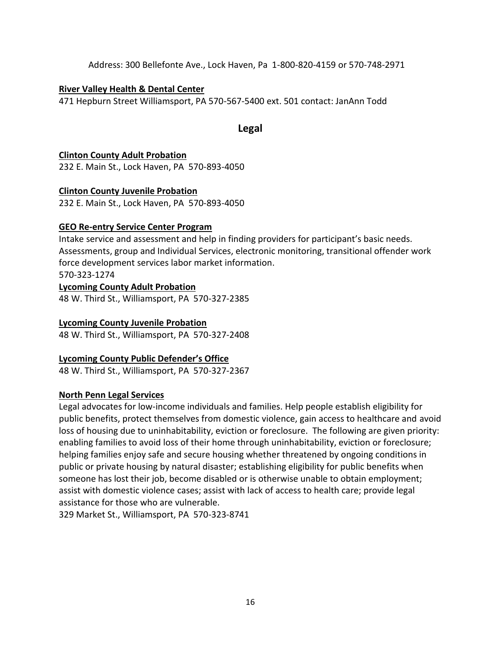Address: 300 Bellefonte Ave., Lock Haven, Pa 1-800-820-4159 or 570-748-2971

#### **River Valley Health & Dental Center**

471 Hepburn Street Williamsport, PA 570-567-5400 ext. 501 contact: JanAnn Todd

### **Legal**

#### **Clinton County Adult Probation**

232 E. Main St., Lock Haven, PA 570-893-4050

#### **Clinton County Juvenile Probation**

232 E. Main St., Lock Haven, PA 570-893-4050

#### **GEO Re-entry Service Center Program**

Intake service and assessment and help in finding providers for participant's basic needs. Assessments, group and Individual Services, electronic monitoring, transitional offender work force development services labor market information. 570-323-1274

### **Lycoming County Adult Probation**

48 W. Third St., Williamsport, PA 570-327-2385

### **Lycoming County Juvenile Probation**

48 W. Third St., Williamsport, PA 570-327-2408

### **Lycoming County Public Defender's Office**

48 W. Third St., Williamsport, PA 570-327-2367

### **North Penn Legal Services**

Legal advocates for low-income individuals and families. Help people establish eligibility for public benefits, protect themselves from domestic violence, gain access to healthcare and avoid loss of housing due to uninhabitability, eviction or foreclosure. The following are given priority: enabling families to avoid loss of their home through uninhabitability, eviction or foreclosure; helping families enjoy safe and secure housing whether threatened by ongoing conditions in public or private housing by natural disaster; establishing eligibility for public benefits when someone has lost their job, become disabled or is otherwise unable to obtain employment; assist with domestic violence cases; assist with lack of access to health care; provide legal assistance for those who are vulnerable.

329 Market St., Williamsport, PA 570-323-8741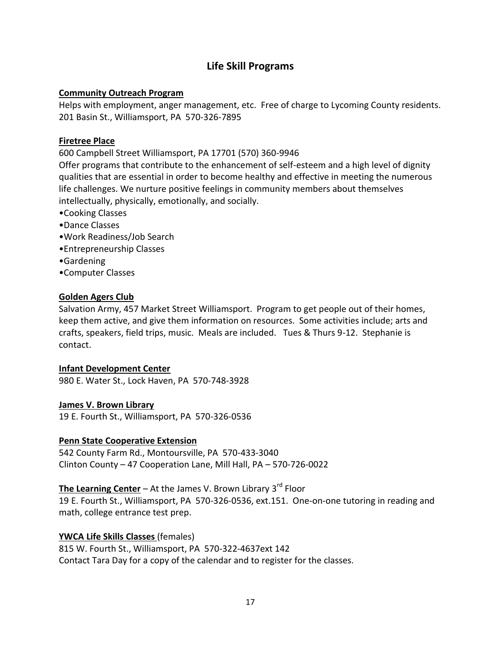### **Life Skill Programs**

### **Community Outreach Program**

Helps with employment, anger management, etc. Free of charge to Lycoming County residents. 201 Basin St., Williamsport, PA 570-326-7895

#### **Firetree Place**

600 Campbell Street Williamsport, PA 17701 (570) 360-9946

Offer programs that contribute to the enhancement of self-esteem and a high level of dignity qualities that are essential in order to become healthy and effective in meeting the numerous life challenges. We nurture positive feelings in community members about themselves intellectually, physically, emotionally, and socially.

•Cooking Classes

- •Dance Classes
- •Work Readiness/Job Search
- •Entrepreneurship Classes
- •Gardening
- •Computer Classes

#### **Golden Agers Club**

Salvation Army, 457 Market Street Williamsport. Program to get people out of their homes, keep them active, and give them information on resources. Some activities include; arts and crafts, speakers, field trips, music. Meals are included. Tues & Thurs 9-12. Stephanie is contact.

#### **Infant Development Center**

980 E. Water St., Lock Haven, PA 570-748-3928

#### **James V. Brown Library**

19 E. Fourth St., Williamsport, PA 570-326-0536

#### **Penn State Cooperative Extension**

542 County Farm Rd., Montoursville, PA 570-433-3040 Clinton County – 47 Cooperation Lane, Mill Hall, PA – 570-726-0022

### **The Learning Center** – At the James V. Brown Library 3<sup>rd</sup> Floor

19 E. Fourth St., Williamsport, PA 570-326-0536, ext.151. One-on-one tutoring in reading and math, college entrance test prep.

#### **YWCA Life Skills Classes** (females)

815 W. Fourth St., Williamsport, PA 570-322-4637ext 142 Contact Tara Day for a copy of the calendar and to register for the classes.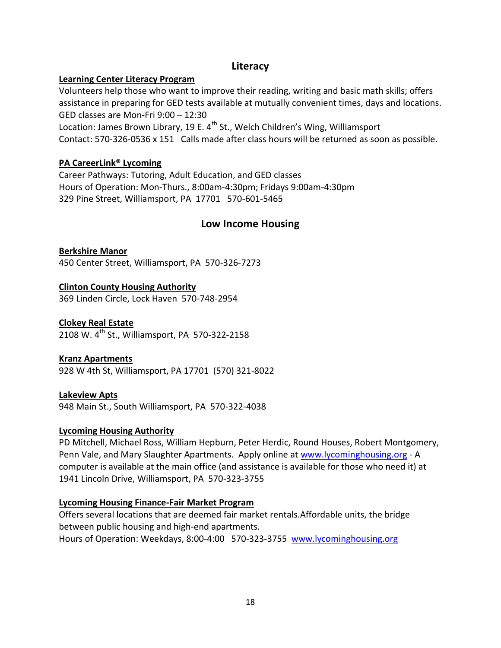### **Literacy**

### **Learning Center Literacy Program**

Volunteers help those who want to improve their reading, writing and basic math skills; offers assistance in preparing for GED tests available at mutually convenient times, days and locations. GED classes are Mon-Fri 9:00 – 12:30

Location: James Brown Library, 19 E. 4<sup>th</sup> St., Welch Children's Wing, Williamsport Contact: 570-326-0536 x 151 Calls made after class hours will be returned as soon as possible.

#### **PA CareerLink® Lycoming**

Career Pathways: Tutoring, Adult Education, and GED classes Hours of Operation: Mon-Thurs., 8:00am-4:30pm; Fridays 9:00am-4:30pm 329 Pine Street, Williamsport, PA 17701 570-601-5465

### **Low Income Housing**

**Berkshire Manor** 450 Center Street, Williamsport, PA 570-326-7273

#### **Clinton County Housing Authority**

369 Linden Circle, Lock Haven 570-748-2954

### **Clokey Real Estate**

2108 W. 4<sup>th</sup> St., Williamsport, PA 570-322-2158

### **Kranz Apartments**

928 W 4th St, Williamsport, PA 17701 (570) 321-8022

#### **Lakeview Apts**

948 Main St., South Williamsport, PA 570-322-4038

#### **Lycoming Housing Authority**

PD Mitchell, Michael Ross, William Hepburn, Peter Herdic, Round Houses, Robert Montgomery, Penn Vale, and Mary Slaughter Apartments. Apply online at [www.lycominghousing.org](http://www.lycominghousing.org/) - A computer is available at the main office (and assistance is available for those who need it) at 1941 Lincoln Drive, Williamsport, PA 570-323-3755

### **Lycoming Housing Finance-Fair Market Program**

Offers several locations that are deemed fair market rentals.Affordable units, the bridge between public housing and high-end apartments. Hours of Operation: Weekdays, 8:00-4:00 570-323-3755 [www.lycominghousing.org](http://www.lycominghousing.org/)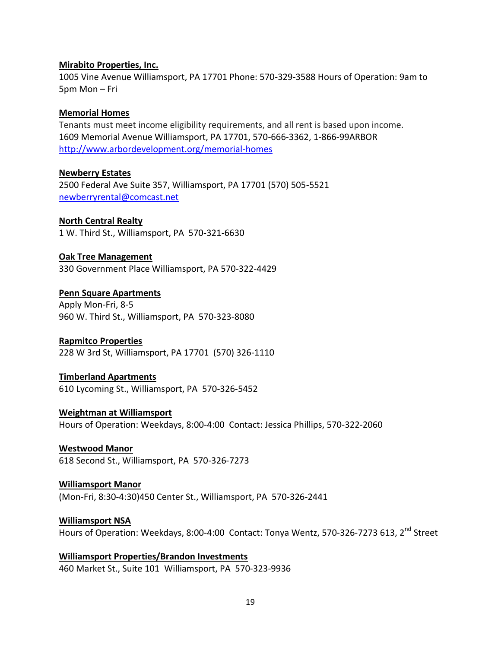#### **Mirabito Properties, Inc.**

1005 Vine Avenue Williamsport, PA 17701 Phone: 570-329-3588 Hours of Operation: 9am to 5pm Mon – Fri

#### **Memorial Homes**

Tenants must meet income eligibility requirements, and all rent is based upon income. 1609 Memorial Avenue Williamsport, PA 17701, 570-666-3362, 1-866-99ARBOR <http://www.arbordevelopment.org/memorial-homes>

#### **Newberry Estates**

2500 Federal Ave Suite 357, Williamsport, PA 17701 (570) 505-5521 [newberryrental@comcast.net](mailto:newberryrental@comcast.net)

#### **North Central Realty**

1 W. Third St., Williamsport, PA 570-321-6630

#### **Oak Tree Management**

330 Government Place Williamsport, PA 570-322-4429

#### **Penn Square Apartments**

Apply Mon-Fri, 8-5 960 W. Third St., Williamsport, PA 570-323-8080

#### **Rapmitco Properties**

228 W 3rd St, Williamsport, PA 17701 (570) 326-1110

#### **Timberland Apartments**

610 Lycoming St., Williamsport, PA 570-326-5452

#### **Weightman at Williamsport**

Hours of Operation: Weekdays, 8:00-4:00 Contact: Jessica Phillips, 570-322-2060

#### **Westwood Manor**

618 Second St., Williamsport, PA 570-326-7273

#### **Williamsport Manor**

(Mon-Fri, 8:30-4:30)450 Center St., Williamsport, PA 570-326-2441

#### **Williamsport NSA**

Hours of Operation: Weekdays, 8:00-4:00 Contact: Tonya Wentz, 570-326-7273 613, 2<sup>nd</sup> Street

**Williamsport Properties/Brandon Investments** 460 Market St., Suite 101 Williamsport, PA 570-323-9936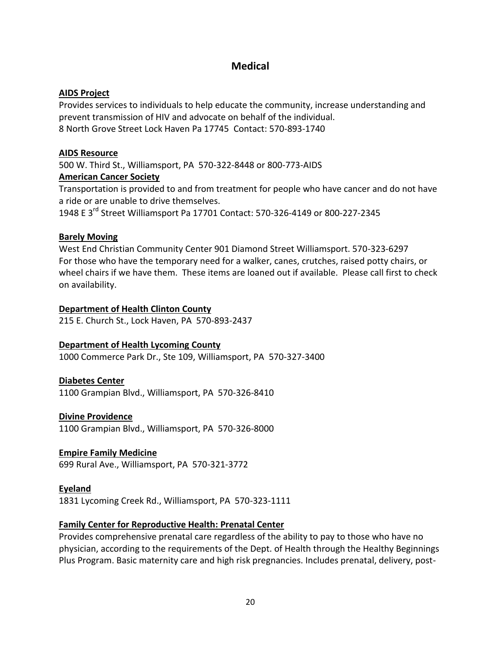### **Medical**

### **AIDS Project**

Provides services to individuals to help educate the community, increase understanding and prevent transmission of HIV and advocate on behalf of the individual. 8 North Grove Street Lock Haven Pa 17745 Contact: 570-893-1740

### **AIDS Resource**

500 W. Third St., Williamsport, PA 570-322-8448 or 800-773-AIDS **American Cancer Society** 

Transportation is provided to and from treatment for people who have cancer and do not have a ride or are unable to drive themselves.

1948 E 3rd Street Williamsport Pa 17701 Contact: 570-326-4149 or 800-227-2345

#### **Barely Moving**

West End Christian Community Center 901 Diamond Street Williamsport. 570-323-6297 For those who have the temporary need for a walker, canes, crutches, raised potty chairs, or wheel chairs if we have them. These items are loaned out if available. Please call first to check on availability.

#### **Department of Health Clinton County**

215 E. Church St., Lock Haven, PA 570-893-2437

#### **Department of Health Lycoming County**

1000 Commerce Park Dr., Ste 109, Williamsport, PA 570-327-3400

#### **Diabetes Center**

1100 Grampian Blvd., Williamsport, PA 570-326-8410

#### **Divine Providence**

1100 Grampian Blvd., Williamsport, PA 570-326-8000

#### **Empire Family Medicine**

699 Rural Ave., Williamsport, PA 570-321-3772

### **Eyeland**

1831 Lycoming Creek Rd., Williamsport, PA 570-323-1111

#### **Family Center for Reproductive Health: Prenatal Center**

Provides comprehensive prenatal care regardless of the ability to pay to those who have no physician, according to the requirements of the Dept. of Health through the Healthy Beginnings Plus Program. Basic maternity care and high risk pregnancies. Includes prenatal, delivery, post-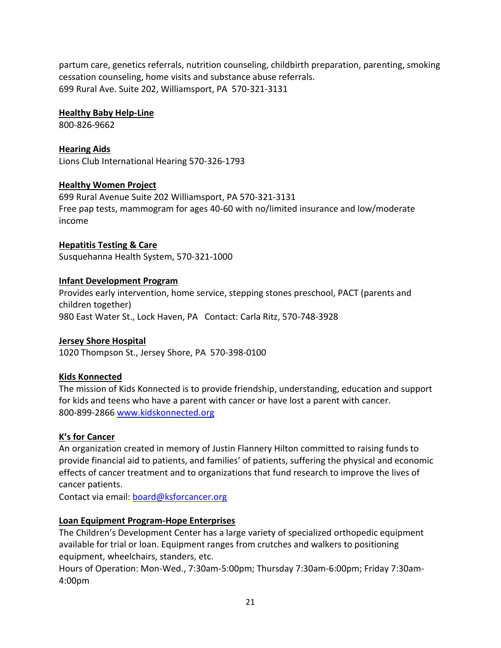partum care, genetics referrals, nutrition counseling, childbirth preparation, parenting, smoking cessation counseling, home visits and substance abuse referrals. 699 Rural Ave. Suite 202, Williamsport, PA 570-321-3131

#### **Healthy Baby Help-Line**

800-826-9662

#### **Hearing Aids**

Lions Club International Hearing 570-326-1793

#### **Healthy Women Project**

699 Rural Avenue Suite 202 Williamsport, PA 570-321-3131 Free pap tests, mammogram for ages 40-60 with no/limited insurance and low/moderate income

#### **Hepatitis Testing & Care**

Susquehanna Health System, 570-321-1000

#### **Infant Development Program**

Provides early intervention, home service, stepping stones preschool, PACT (parents and children together) 980 East Water St., Lock Haven, PA Contact: Carla Ritz, 570-748-3928

#### **Jersey Shore Hospital**

1020 Thompson St., Jersey Shore, PA 570-398-0100

#### **Kids Konnected**

The mission of Kids Konnected is to provide friendship, understanding, education and support for kids and teens who have a parent with cancer or have lost a parent with cancer. 800-899-2866 [www.kidskonnected.org](http://www.kidskonnected.org/)

#### **K's for Cancer**

An organization created in memory of Justin Flannery Hilton committed to raising funds to provide financial aid to patients, and families' of patients, suffering the physical and economic effects of cancer treatment and to organizations that fund research to improve the lives of cancer patients.

Contact via email: [board@ksforcancer.org](mailto:board@ksforcancer.org)

#### **Loan Equipment Program-Hope Enterprises**

The Children's Development Center has a large variety of specialized orthopedic equipment available for trial or loan. Equipment ranges from crutches and walkers to positioning equipment, wheelchairs, standers, etc.

Hours of Operation: Mon-Wed., 7:30am-5:00pm; Thursday 7:30am-6:00pm; Friday 7:30am-4:00pm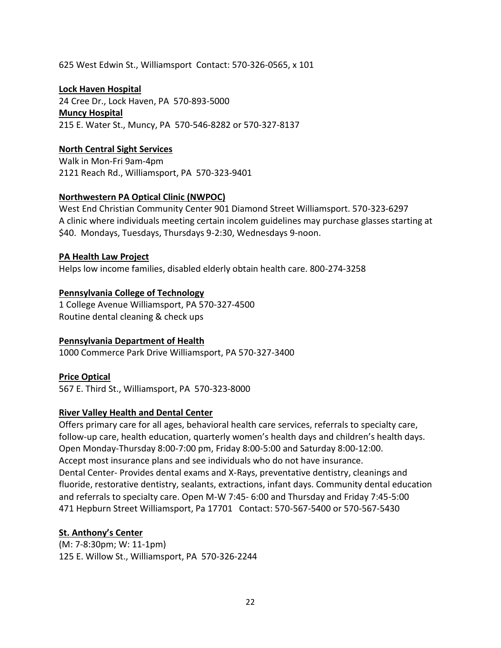625 West Edwin St., Williamsport Contact: 570-326-0565, x 101

#### **Lock Haven Hospital**

24 Cree Dr., Lock Haven, PA 570-893-5000 **Muncy Hospital** 215 E. Water St., Muncy, PA 570-546-8282 or 570-327-8137

### **North Central Sight Services**

Walk in Mon-Fri 9am-4pm 2121 Reach Rd., Williamsport, PA 570-323-9401

#### **Northwestern PA Optical Clinic (NWPOC)**

West End Christian Community Center 901 Diamond Street Williamsport. 570-323-6297 A clinic where individuals meeting certain incolem guidelines may purchase glasses starting at \$40. Mondays, Tuesdays, Thursdays 9-2:30, Wednesdays 9-noon.

#### **PA Health Law Project**

Helps low income families, disabled elderly obtain health care. 800-274-3258

### **Pennsylvania College of Technology**

1 College Avenue Williamsport, PA 570-327-4500 Routine dental cleaning & check ups

### **Pennsylvania Department of Health**

1000 Commerce Park Drive Williamsport, PA 570-327-3400

### **Price Optical**

567 E. Third St., Williamsport, PA 570-323-8000

#### **River Valley Health and Dental Center**

Offers primary care for all ages, behavioral health care services, referrals to specialty care, follow-up care, health education, quarterly women's health days and children's health days. Open Monday-Thursday 8:00-7:00 pm, Friday 8:00-5:00 and Saturday 8:00-12:00. Accept most insurance plans and see individuals who do not have insurance. Dental Center- Provides dental exams and X-Rays, preventative dentistry, cleanings and fluoride, restorative dentistry, sealants, extractions, infant days. Community dental education and referrals to specialty care. Open M-W 7:45- 6:00 and Thursday and Friday 7:45-5:00 471 Hepburn Street Williamsport, Pa 17701 Contact: 570-567-5400 or 570-567-5430

### **St. Anthony's Center**

(M: 7-8:30pm; W: 11-1pm) 125 E. Willow St., Williamsport, PA 570-326-2244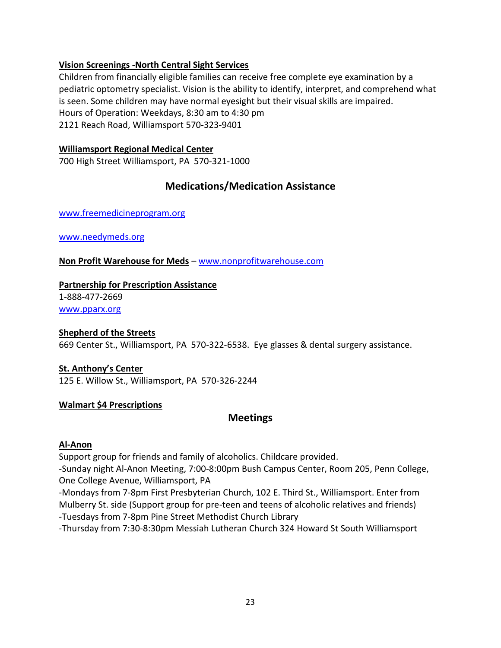### **Vision Screenings -North Central Sight Services**

Children from financially eligible families can receive free complete eye examination by a pediatric optometry specialist. Vision is the ability to identify, interpret, and comprehend what is seen. Some children may have normal eyesight but their visual skills are impaired. Hours of Operation: Weekdays, 8:30 am to 4:30 pm 2121 Reach Road, Williamsport 570-323-9401

#### **Williamsport Regional Medical Center**

700 High Street Williamsport, PA 570-321-1000

### **Medications/Medication Assistance**

[www.freemedicineprogram.org](http://www.freemedicineprogram.org/)

[www.needymeds.org](http://www.needymeds.org/)

**Non Profit Warehouse for Meds** – [www.nonprofitwarehouse.com](http://www.nonprofitwarehouse.com/)

### **Partnership for Prescription Assistance**

1-888-477-2669 [www.pparx.org](http://www.pparx.org/)

### **Shepherd of the Streets**

669 Center St., Williamsport, PA 570-322-6538. Eye glasses & dental surgery assistance.

#### **St. Anthony's Center**

125 E. Willow St., Williamsport, PA 570-326-2244

#### **Walmart \$4 Prescriptions**

### **Meetings**

#### **Al-Anon**

Support group for friends and family of alcoholics. Childcare provided.

-Sunday night Al-Anon Meeting, 7:00-8:00pm Bush Campus Center, Room 205, Penn College, One College Avenue, Williamsport, PA

-Mondays from 7-8pm First Presbyterian Church, 102 E. Third St., Williamsport. Enter from Mulberry St. side (Support group for pre-teen and teens of alcoholic relatives and friends) -Tuesdays from 7-8pm Pine Street Methodist Church Library

-Thursday from 7:30-8:30pm Messiah Lutheran Church 324 Howard St South Williamsport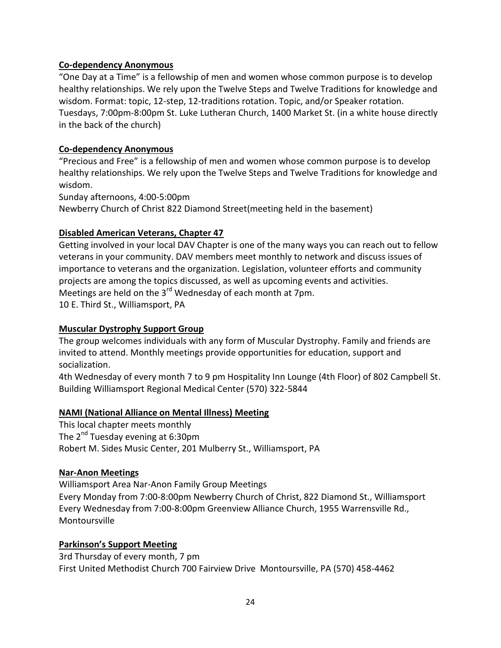#### **Co-dependency Anonymous**

"One Day at a Time" is a fellowship of men and women whose common purpose is to develop healthy relationships. We rely upon the Twelve Steps and Twelve Traditions for knowledge and wisdom. Format: topic, 12-step, 12-traditions rotation. Topic, and/or Speaker rotation. Tuesdays, 7:00pm-8:00pm St. Luke Lutheran Church, 1400 Market St. (in a white house directly in the back of the church)

#### **Co-dependency Anonymous**

"Precious and Free" is a fellowship of men and women whose common purpose is to develop healthy relationships. We rely upon the Twelve Steps and Twelve Traditions for knowledge and wisdom.

Sunday afternoons, 4:00-5:00pm

Newberry Church of Christ 822 Diamond Street(meeting held in the basement)

#### **Disabled American Veterans, Chapter 47**

Getting involved in your local DAV Chapter is one of the many ways you can reach out to fellow veterans in your community. DAV members meet monthly to network and discuss issues of importance to veterans and the organization. Legislation, volunteer efforts and community projects are among the topics discussed, as well as upcoming events and activities. Meetings are held on the  $3^{rd}$  Wednesday of each month at 7pm. 10 E. Third St., Williamsport, PA

#### **Muscular Dystrophy Support Group**

The group welcomes individuals with any form of Muscular Dystrophy. Family and friends are invited to attend. Monthly meetings provide opportunities for education, support and socialization.

4th Wednesday of every month 7 to 9 pm Hospitality Inn Lounge (4th Floor) of 802 Campbell St. Building Williamsport Regional Medical Center (570) 322-5844

#### **NAMI (National Alliance on Mental Illness) Meeting**

This local chapter meets monthly The 2<sup>nd</sup> Tuesday evening at 6:30pm Robert M. Sides Music Center, 201 Mulberry St., Williamsport, PA

#### **Nar-Anon Meetings**

Williamsport Area Nar-Anon Family Group Meetings Every Monday from 7:00-8:00pm Newberry Church of Christ, 822 Diamond St., Williamsport Every Wednesday from 7:00-8:00pm Greenview Alliance Church, 1955 Warrensville Rd., Montoursville

#### **Parkinson's Support Meeting**

3rd Thursday of every month, 7 pm First United Methodist Church 700 Fairview Drive Montoursville, PA (570) 458-4462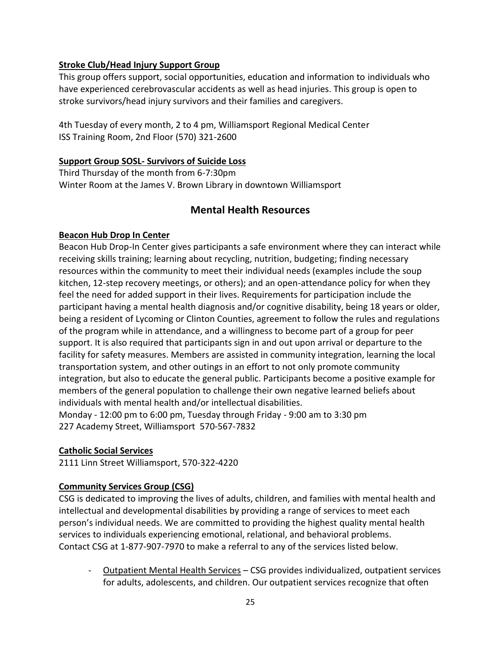### **Stroke Club/Head Injury Support Group**

This group offers support, social opportunities, education and information to individuals who have experienced cerebrovascular accidents as well as head injuries. This group is open to stroke survivors/head injury survivors and their families and caregivers.

4th Tuesday of every month, 2 to 4 pm, Williamsport Regional Medical Center ISS Training Room, 2nd Floor (570) 321-2600

#### **Support Group SOSL- Survivors of Suicide Loss**

Third Thursday of the month from 6-7:30pm Winter Room at the James V. Brown Library in downtown Williamsport

### **Mental Health Resources**

#### **Beacon Hub Drop In Center**

Beacon Hub Drop-In Center gives participants a safe environment where they can interact while receiving skills training; learning about recycling, nutrition, budgeting; finding necessary resources within the community to meet their individual needs (examples include the soup kitchen, 12-step recovery meetings, or others); and an open-attendance policy for when they feel the need for added support in their lives. Requirements for participation include the participant having a mental health diagnosis and/or cognitive disability, being 18 years or older, being a resident of Lycoming or Clinton Counties, agreement to follow the rules and regulations of the program while in attendance, and a willingness to become part of a group for peer support. It is also required that participants sign in and out upon arrival or departure to the facility for safety measures. Members are assisted in community integration, learning the local transportation system, and other outings in an effort to not only promote community integration, but also to educate the general public. Participants become a positive example for members of the general population to challenge their own negative learned beliefs about individuals with mental health and/or intellectual disabilities. Monday - 12:00 pm to 6:00 pm, Tuesday through Friday - 9:00 am to 3:30 pm 227 Academy Street, Williamsport 570-567-7832

#### **Catholic Social Services**

2111 Linn Street Williamsport, 570-322-4220

### **Community Services Group (CSG)**

CSG is dedicated to improving the lives of adults, children, and families with mental health and intellectual and developmental disabilities by providing a range of services to meet each person's individual needs. We are committed to providing the highest quality mental health services to individuals experiencing emotional, relational, and behavioral problems. Contact CSG at 1-877-907-7970 to make a referral to any of the services listed below.

- Outpatient Mental Health Services - CSG provides individualized, outpatient services for adults, adolescents, and children. Our outpatient services recognize that often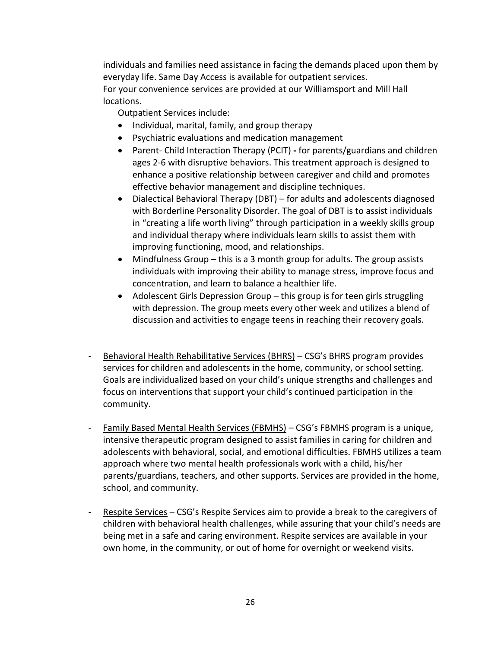individuals and families need assistance in facing the demands placed upon them by everyday life. Same Day Access is available for outpatient services. For your convenience services are provided at our Williamsport and Mill Hall locations.

Outpatient Services include:

- Individual, marital, family, and group therapy
- Psychiatric evaluations and medication management
- Parent- Child Interaction Therapy (PCIT) **-** for parents/guardians and children ages 2-6 with disruptive behaviors. This treatment approach is designed to enhance a positive relationship between caregiver and child and promotes effective behavior management and discipline techniques.
- Dialectical Behavioral Therapy (DBT) for adults and adolescents diagnosed with Borderline Personality Disorder. The goal of DBT is to assist individuals in "creating a life worth living" through participation in a weekly skills group and individual therapy where individuals learn skills to assist them with improving functioning, mood, and relationships.
- Mindfulness Group this is a 3 month group for adults. The group assists individuals with improving their ability to manage stress, improve focus and concentration, and learn to balance a healthier life.
- Adolescent Girls Depression Group this group is for teen girls struggling with depression. The group meets every other week and utilizes a blend of discussion and activities to engage teens in reaching their recovery goals.
- Behavioral Health Rehabilitative Services (BHRS) CSG's BHRS program provides services for children and adolescents in the home, community, or school setting. Goals are individualized based on your child's unique strengths and challenges and focus on interventions that support your child's continued participation in the community.
- Family Based Mental Health Services (FBMHS) CSG's FBMHS program is a unique, intensive therapeutic program designed to assist families in caring for children and adolescents with behavioral, social, and emotional difficulties. FBMHS utilizes a team approach where two mental health professionals work with a child, his/her parents/guardians, teachers, and other supports. Services are provided in the home, school, and community.
- Respite Services CSG's Respite Services aim to provide a break to the caregivers of children with behavioral health challenges, while assuring that your child's needs are being met in a safe and caring environment. Respite services are available in your own home, in the community, or out of home for overnight or weekend visits.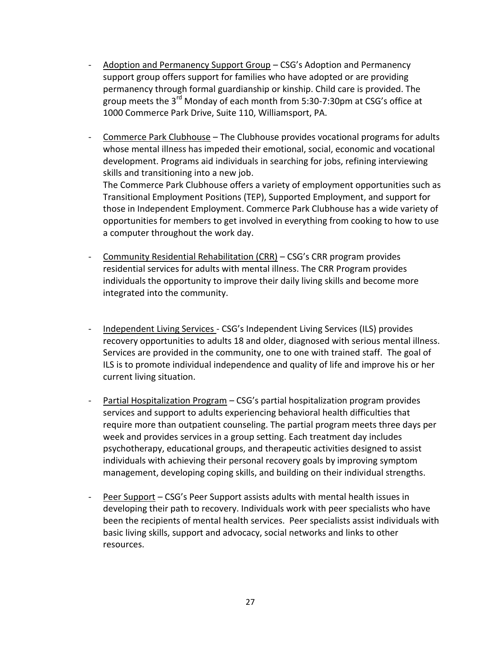- Adoption and Permanency Support Group CSG's Adoption and Permanency support group offers support for families who have adopted or are providing permanency through formal guardianship or kinship. Child care is provided. The group meets the  $3^{rd}$  Monday of each month from 5:30-7:30pm at CSG's office at 1000 Commerce Park Drive, Suite 110, Williamsport, PA.
- Commerce Park Clubhouse The Clubhouse provides vocational programs for adults whose mental illness has impeded their emotional, social, economic and vocational development. Programs aid individuals in searching for jobs, refining interviewing skills and transitioning into a new job. The Commerce Park Clubhouse offers a variety of employment opportunities such as

Transitional Employment Positions (TEP), Supported Employment, and support for those in Independent Employment. Commerce Park Clubhouse has a wide variety of opportunities for members to get involved in everything from cooking to how to use a computer throughout the work day.

- Community Residential Rehabilitation (CRR) CSG's CRR program provides residential services for adults with mental illness. The CRR Program provides individuals the opportunity to improve their daily living skills and become more integrated into the community.
- Independent Living Services CSG's Independent Living Services (ILS) provides recovery opportunities to adults 18 and older, diagnosed with serious mental illness. Services are provided in the community, one to one with trained staff. The goal of ILS is to promote individual independence and quality of life and improve his or her current living situation.
- Partial Hospitalization Program CSG's partial hospitalization program provides services and support to adults experiencing behavioral health difficulties that require more than outpatient counseling. The partial program meets three days per week and provides services in a group setting. Each treatment day includes psychotherapy, educational groups, and therapeutic activities designed to assist individuals with achieving their personal recovery goals by improving symptom management, developing coping skills, and building on their individual strengths.
- Peer Support CSG's Peer Support assists adults with mental health issues in developing their path to recovery. Individuals work with peer specialists who have been the recipients of mental health services. Peer specialists assist individuals with basic living skills, support and advocacy, social networks and links to other resources.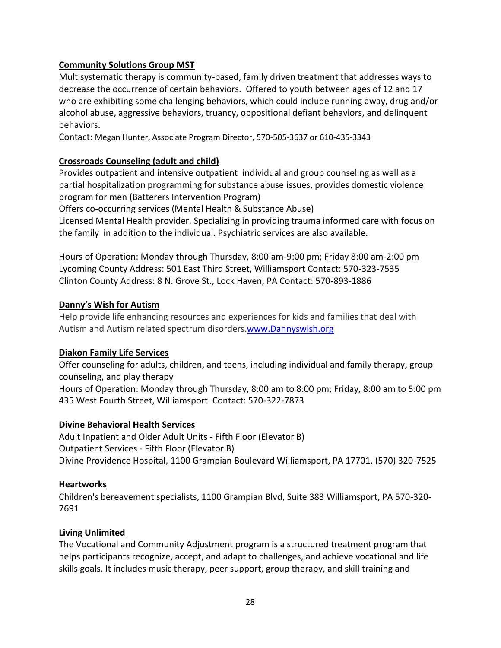### **Community Solutions Group MST**

Multisystematic therapy is community-based, family driven treatment that addresses ways to decrease the occurrence of certain behaviors. Offered to youth between ages of 12 and 17 who are exhibiting some challenging behaviors, which could include running away, drug and/or alcohol abuse, aggressive behaviors, truancy, oppositional defiant behaviors, and delinquent behaviors.

Contact: Megan Hunter, Associate Program Director, 570-505-3637 or 610-435-3343

### **Crossroads Counseling (adult and child)**

Provides outpatient and intensive outpatient individual and group counseling as well as a partial hospitalization programming for substance abuse issues, provides domestic violence program for men (Batterers Intervention Program)

Offers co-occurring services (Mental Health & Substance Abuse)

Licensed Mental Health provider. Specializing in providing trauma informed care with focus on the family in addition to the individual. Psychiatric services are also available.

Hours of Operation: Monday through Thursday, 8:00 am-9:00 pm; Friday 8:00 am-2:00 pm Lycoming County Address: 501 East Third Street, Williamsport Contact: 570-323-7535 Clinton County Address: 8 N. Grove St., Lock Haven, PA Contact: 570-893-1886

### **Danny's Wish for Autism**

Help provide life enhancing resources and experiences for kids and families that deal with Autism and Autism related spectrum disorders.[www.Dannyswish.org](http://www.dannyswish.org/)

### **Diakon Family Life Services**

Offer counseling for adults, children, and teens, including individual and family therapy, group counseling, and play therapy

Hours of Operation: Monday through Thursday, 8:00 am to 8:00 pm; Friday, 8:00 am to 5:00 pm 435 West Fourth Street, Williamsport Contact: 570-322-7873

### **Divine Behavioral Health Services**

Adult Inpatient and Older Adult Units - Fifth Floor (Elevator B) Outpatient Services - Fifth Floor (Elevator B) Divine Providence Hospital, 1100 Grampian Boulevard Williamsport, PA 17701, (570) 320-7525

### **Heartworks**

Children's bereavement specialists, 1100 Grampian Blvd, Suite 383 Williamsport, PA 570-320- 7691

### **Living Unlimited**

The Vocational and Community Adjustment program is a structured treatment program that helps participants recognize, accept, and adapt to challenges, and achieve vocational and life skills goals. It includes music therapy, peer support, group therapy, and skill training and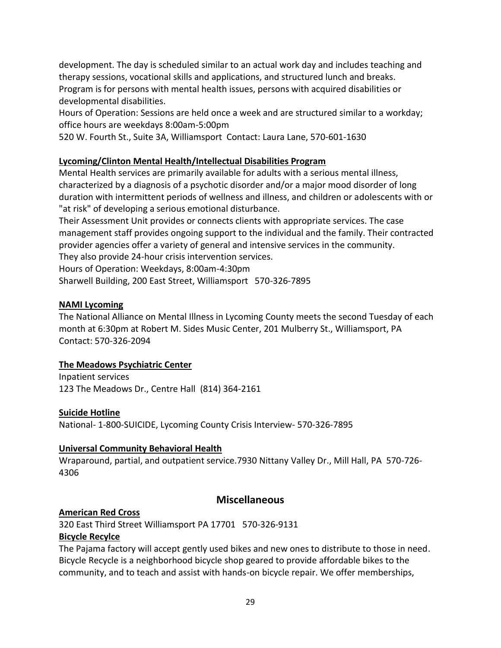development. The day is scheduled similar to an actual work day and includes teaching and therapy sessions, vocational skills and applications, and structured lunch and breaks. Program is for persons with mental health issues, persons with acquired disabilities or developmental disabilities.

Hours of Operation: Sessions are held once a week and are structured similar to a workday; office hours are weekdays 8:00am-5:00pm

520 W. Fourth St., Suite 3A, Williamsport Contact: Laura Lane, 570-601-1630

### **Lycoming/Clinton Mental Health/Intellectual Disabilities Program**

Mental Health services are primarily available for adults with a serious mental illness, characterized by a diagnosis of a psychotic disorder and/or a major mood disorder of long duration with intermittent periods of wellness and illness, and children or adolescents with or "at risk" of developing a serious emotional disturbance.

Their Assessment Unit provides or connects clients with appropriate services. The case management staff provides ongoing support to the individual and the family. Their contracted provider agencies offer a variety of general and intensive services in the community. They also provide 24-hour crisis intervention services.

Hours of Operation: Weekdays, 8:00am-4:30pm

Sharwell Building, 200 East Street, Williamsport 570-326-7895

### **NAMI Lycoming**

The National Alliance on Mental Illness in Lycoming County meets the second Tuesday of each month at 6:30pm at Robert M. Sides Music Center, 201 Mulberry St., Williamsport, PA Contact: 570-326-2094

### **The Meadows Psychiatric Center**

Inpatient services 123 The Meadows Dr., Centre Hall (814) 364-2161

### **Suicide Hotline**

National- 1-800-SUICIDE, Lycoming County Crisis Interview- 570-326-7895

### **Universal Community Behavioral Health**

Wraparound, partial, and outpatient service.7930 Nittany Valley Dr., Mill Hall, PA 570-726- 4306

### **Miscellaneous**

### **American Red Cross**

320 East Third Street Williamsport PA 17701 570-326-9131

### **Bicycle Recylce**

The Pajama factory will accept gently used bikes and new ones to distribute to those in need. Bicycle Recycle is a neighborhood bicycle shop geared to provide affordable bikes to the community, and to teach and assist with hands-on bicycle repair. We offer memberships,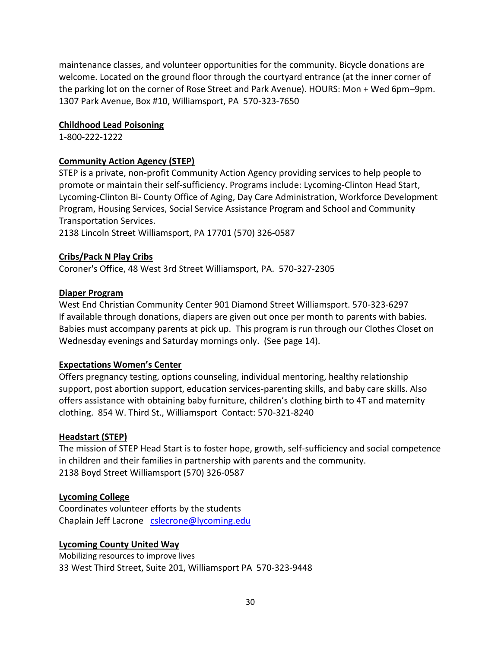maintenance classes, and volunteer opportunities for the community. Bicycle donations are welcome. Located on the ground floor through the courtyard entrance (at the inner corner of the parking lot on the corner of Rose Street and Park Avenue). HOURS: Mon + Wed 6pm–9pm. 1307 Park Avenue, Box #10, Williamsport, PA 570-323-7650

#### **Childhood Lead Poisoning**

1-800-222-1222

#### **Community Action Agency (STEP)**

STEP is a private, non-profit Community Action Agency providing services to help people to promote or maintain their self-sufficiency. Programs include: Lycoming-Clinton Head Start, Lycoming-Clinton Bi- County Office of Aging, Day Care Administration, Workforce Development Program, Housing Services, Social Service Assistance Program and School and Community Transportation Services.

2138 Lincoln Street Williamsport, PA 17701 (570) 326-0587

#### **Cribs/Pack N Play Cribs**

Coroner's Office, 48 West 3rd Street Williamsport, PA. 570-327-2305

#### **Diaper Program**

West End Christian Community Center 901 Diamond Street Williamsport. 570-323-6297 If available through donations, diapers are given out once per month to parents with babies. Babies must accompany parents at pick up. This program is run through our Clothes Closet on Wednesday evenings and Saturday mornings only. (See page 14).

#### **Expectations Women's Center**

Offers pregnancy testing, options counseling, individual mentoring, healthy relationship support, post abortion support, education services-parenting skills, and baby care skills. Also offers assistance with obtaining baby furniture, children's clothing birth to 4T and maternity clothing. 854 W. Third St., Williamsport Contact: 570-321-8240

#### **Headstart (STEP)**

The mission of STEP Head Start is to foster hope, growth, self-sufficiency and social competence in children and their families in partnership with parents and the community. 2138 Boyd Street Williamsport (570) 326-0587

#### **Lycoming College**

Coordinates volunteer efforts by the students Chaplain Jeff Lacrone [cslecrone@lycoming.edu](mailto:cslecrone@lycoming.edu)

#### **Lycoming County United Way**

Mobilizing resources to improve lives 33 West Third Street, Suite 201, Williamsport PA 570-323-9448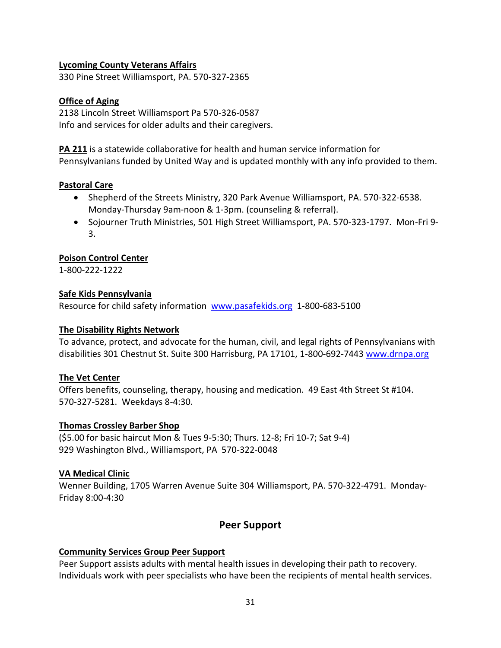#### **Lycoming County Veterans Affairs**

330 Pine Street Williamsport, PA. 570-327-2365

#### **Office of Aging**

2138 Lincoln Street Williamsport Pa 570-326-0587 Info and services for older adults and their caregivers.

**PA 211** is a statewide collaborative for health and human service information for Pennsylvanians funded by United Way and is updated monthly with any info provided to them.

#### **Pastoral Care**

- Shepherd of the Streets Ministry, 320 Park Avenue Williamsport, PA. 570-322-6538. Monday-Thursday 9am-noon & 1-3pm. (counseling & referral).
- Sojourner Truth Ministries, 501 High Street Williamsport, PA. 570-323-1797. Mon-Fri 9-3.

#### **Poison Control Center**

1-800-222-1222

#### **Safe Kids Pennsylvania**

Resource for child safety information [www.pasafekids.org](http://www.pasafekids.org/) 1-800-683-5100

#### **The Disability Rights Network**

To advance, protect, and advocate for the human, civil, and legal rights of Pennsylvanians with disabilities 301 Chestnut St. Suite 300 Harrisburg, PA 17101, 1-800-692-7443 [www.drnpa.org](http://www.drnpa.org/)

#### **The Vet Center**

Offers benefits, counseling, therapy, housing and medication. 49 East 4th Street St #104. 570-327-5281. Weekdays 8-4:30.

#### **Thomas Crossley Barber Shop**

(\$5.00 for basic haircut Mon & Tues 9-5:30; Thurs. 12-8; Fri 10-7; Sat 9-4) 929 Washington Blvd., Williamsport, PA 570-322-0048

#### **VA Medical Clinic**

Wenner Building, 1705 Warren Avenue Suite 304 Williamsport, PA. 570-322-4791. Monday-Friday 8:00-4:30

### **Peer Support**

#### **Community Services Group Peer Support**

Peer Support assists adults with mental health issues in developing their path to recovery. Individuals work with peer specialists who have been the recipients of mental health services.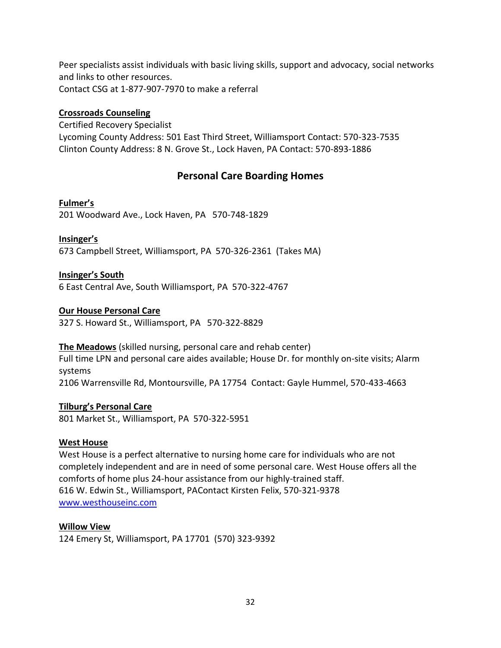Peer specialists assist individuals with basic living skills, support and advocacy, social networks and links to other resources. Contact CSG at 1-877-907-7970 to make a referral

#### **Crossroads Counseling**

Certified Recovery Specialist Lycoming County Address: 501 East Third Street, Williamsport Contact: 570-323-7535 Clinton County Address: 8 N. Grove St., Lock Haven, PA Contact: 570-893-1886

### **Personal Care Boarding Homes**

**Fulmer's** 201 Woodward Ave., Lock Haven, PA 570-748-1829

**Insinger's** 673 Campbell Street, Williamsport, PA 570-326-2361 (Takes MA)

**Insinger's South** 6 East Central Ave, South Williamsport, PA 570-322-4767

#### **Our House Personal Care**

327 S. Howard St., Williamsport, PA 570-322-8829

**The Meadows** (skilled nursing, personal care and rehab center) Full time LPN and personal care aides available; House Dr. for monthly on-site visits; Alarm systems 2106 Warrensville Rd, Montoursville, PA 17754 Contact: Gayle Hummel, 570-433-4663

**Tilburg's Personal Care**

801 Market St., Williamsport, PA 570-322-5951

#### **West House**

West House is a perfect alternative to nursing home care for individuals who are not completely independent and are in need of some personal care. West House offers all the comforts of home plus 24-hour assistance from our highly-trained staff. 616 W. Edwin St., Williamsport, PAContact Kirsten Felix, 570-321-9378 [www.westhouseinc.com](http://www.westhouseinc.com/)

#### **Willow View**

124 Emery St, Williamsport, PA 17701 (570) 323-9392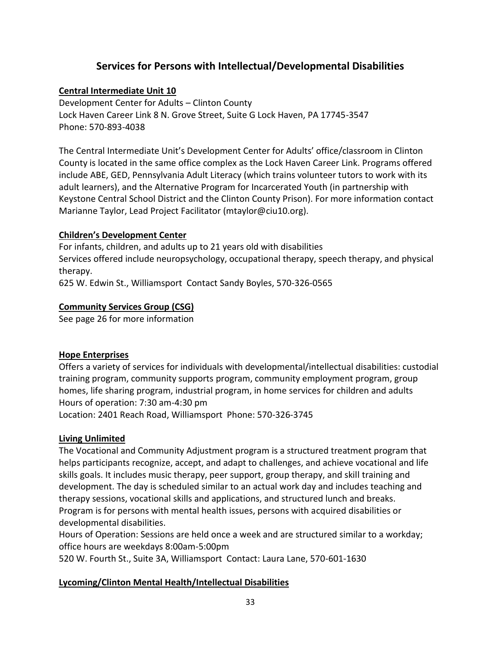### **Services for Persons with Intellectual/Developmental Disabilities**

### **Central Intermediate Unit 10**

Development Center for Adults – Clinton County Lock Haven Career Link 8 N. Grove Street, Suite G Lock Haven, PA 17745-3547 Phone: 570-893-4038

The Central Intermediate Unit's Development Center for Adults' office/classroom in Clinton County is located in the same office complex as the Lock Haven Career Link. Programs offered include ABE, GED, Pennsylvania Adult Literacy (which trains volunteer tutors to work with its adult learners), and the Alternative Program for Incarcerated Youth (in partnership with Keystone Central School District and the Clinton County Prison). For more information contact Marianne Taylor, Lead Project Facilitator (mtaylor@ciu10.org).

### **Children's Development Center**

For infants, children, and adults up to 21 years old with disabilities Services offered include neuropsychology, occupational therapy, speech therapy, and physical therapy.

625 W. Edwin St., Williamsport Contact Sandy Boyles, 570-326-0565

### **Community Services Group (CSG)**

See page 26 for more information

### **Hope Enterprises**

Offers a variety of services for individuals with developmental/intellectual disabilities: custodial training program, community supports program, community employment program, group homes, life sharing program, industrial program, in home services for children and adults Hours of operation: 7:30 am-4:30 pm

Location: 2401 Reach Road, Williamsport Phone: 570-326-3745

### **Living Unlimited**

The Vocational and Community Adjustment program is a structured treatment program that helps participants recognize, accept, and adapt to challenges, and achieve vocational and life skills goals. It includes music therapy, peer support, group therapy, and skill training and development. The day is scheduled similar to an actual work day and includes teaching and therapy sessions, vocational skills and applications, and structured lunch and breaks. Program is for persons with mental health issues, persons with acquired disabilities or developmental disabilities.

Hours of Operation: Sessions are held once a week and are structured similar to a workday; office hours are weekdays 8:00am-5:00pm

520 W. Fourth St., Suite 3A, Williamsport Contact: Laura Lane, 570-601-1630

### **Lycoming/Clinton Mental Health/Intellectual Disabilities**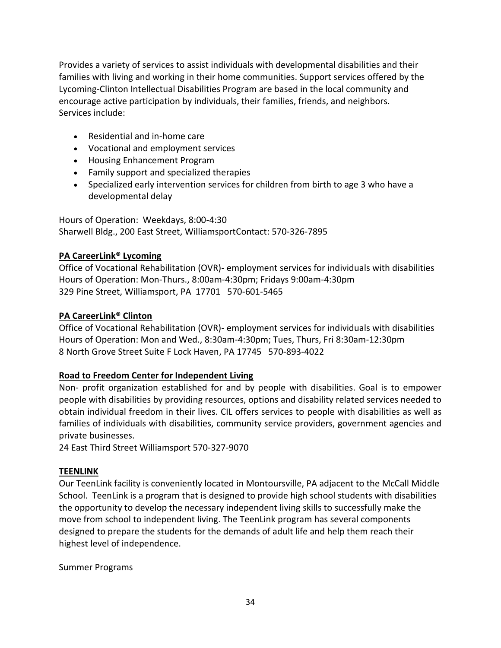Provides a variety of services to assist individuals with developmental disabilities and their families with living and working in their home communities. Support services offered by the Lycoming-Clinton Intellectual Disabilities Program are based in the local community and encourage active participation by individuals, their families, friends, and neighbors. Services include:

- Residential and in-home care
- Vocational and employment services
- Housing Enhancement Program
- Family support and specialized therapies
- Specialized early intervention services for children from birth to age 3 who have a developmental delay

Hours of Operation: Weekdays, 8:00-4:30 Sharwell Bldg., 200 East Street, WilliamsportContact: 570-326-7895

### **PA CareerLink® Lycoming**

Office of Vocational Rehabilitation (OVR)- employment services for individuals with disabilities Hours of Operation: Mon-Thurs., 8:00am-4:30pm; Fridays 9:00am-4:30pm 329 Pine Street, Williamsport, PA 17701 570-601-5465

### **PA CareerLink® Clinton**

Office of Vocational Rehabilitation (OVR)- employment services for individuals with disabilities Hours of Operation: Mon and Wed., 8:30am-4:30pm; Tues, Thurs, Fri 8:30am-12:30pm 8 North Grove Street Suite F Lock Haven, PA 17745 570-893-4022

### **Road to Freedom Center for Independent Living**

Non- profit organization established for and by people with disabilities. Goal is to empower people with disabilities by providing resources, options and disability related services needed to obtain individual freedom in their lives. CIL offers services to people with disabilities as well as families of individuals with disabilities, community service providers, government agencies and private businesses.

24 East Third Street Williamsport 570-327-9070

### **TEENLINK**

Our TeenLink facility is conveniently located in Montoursville, PA adjacent to the McCall Middle School. TeenLink is a program that is designed to provide high school students with disabilities the opportunity to develop the necessary independent living skills to successfully make the move from school to independent living. The TeenLink program has several components designed to prepare the students for the demands of adult life and help them reach their highest level of independence.

Summer Programs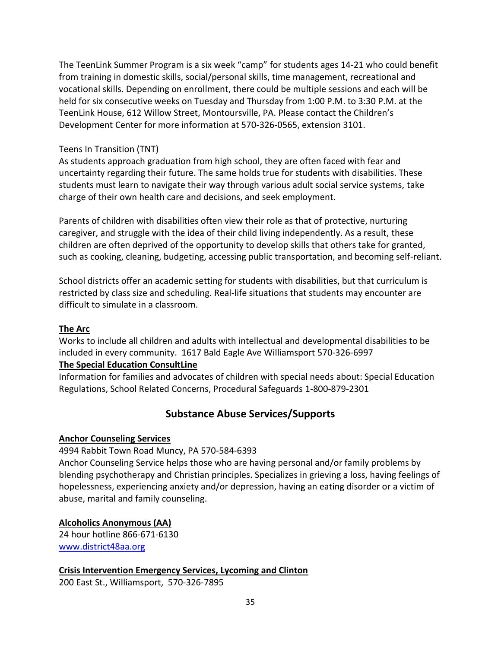The TeenLink Summer Program is a six week "camp" for students ages 14-21 who could benefit from training in domestic skills, social/personal skills, time management, recreational and vocational skills. Depending on enrollment, there could be multiple sessions and each will be held for six consecutive weeks on Tuesday and Thursday from 1:00 P.M. to 3:30 P.M. at the TeenLink House, 612 Willow Street, Montoursville, PA. Please contact the Children's Development Center for more information at 570-326-0565, extension 3101.

### Teens In Transition (TNT)

As students approach graduation from high school, they are often faced with fear and uncertainty regarding their future. The same holds true for students with disabilities. These students must learn to navigate their way through various adult social service systems, take charge of their own health care and decisions, and seek employment.

Parents of children with disabilities often view their role as that of protective, nurturing caregiver, and struggle with the idea of their child living independently. As a result, these children are often deprived of the opportunity to develop skills that others take for granted, such as cooking, cleaning, budgeting, accessing public transportation, and becoming self-reliant.

School districts offer an academic setting for students with disabilities, but that curriculum is restricted by class size and scheduling. Real-life situations that students may encounter are difficult to simulate in a classroom.

### **The Arc**

Works to include all children and adults with intellectual and developmental disabilities to be included in every community. 1617 Bald Eagle Ave Williamsport 570-326-6997

### **The Special Education ConsultLine**

Information for families and advocates of children with special needs about: Special Education Regulations, School Related Concerns, Procedural Safeguards 1-800-879-2301

### **Substance Abuse Services/Supports**

### **Anchor Counseling Services**

### 4994 Rabbit Town Road Muncy, PA 570-584-6393

Anchor Counseling Service helps those who are having personal and/or family problems by blending psychotherapy and Christian principles. Specializes in grieving a loss, having feelings of hopelessness, experiencing anxiety and/or depression, having an eating disorder or a victim of abuse, marital and family counseling.

### **Alcoholics Anonymous (AA)**

24 hour hotline 866-671-6130 [www.district48aa.org](http://www.district48aa.org/)

**Crisis Intervention Emergency Services, Lycoming and Clinton** 200 East St., Williamsport, 570-326-7895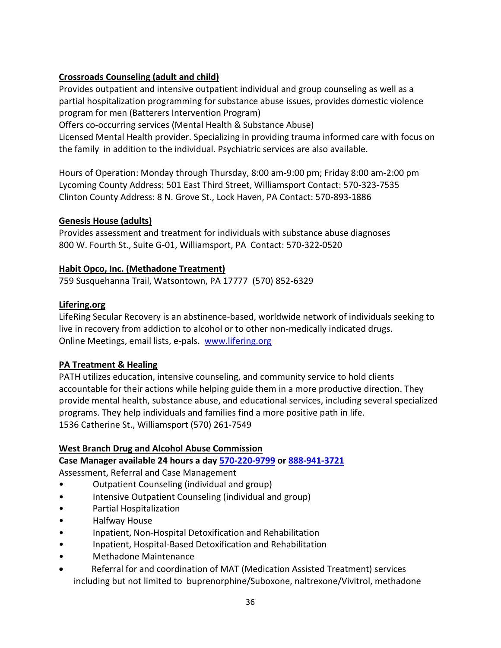### **Crossroads Counseling (adult and child)**

Provides outpatient and intensive outpatient individual and group counseling as well as a partial hospitalization programming for substance abuse issues, provides domestic violence program for men (Batterers Intervention Program)

Offers co-occurring services (Mental Health & Substance Abuse)

Licensed Mental Health provider. Specializing in providing trauma informed care with focus on the family in addition to the individual. Psychiatric services are also available.

Hours of Operation: Monday through Thursday, 8:00 am-9:00 pm; Friday 8:00 am-2:00 pm Lycoming County Address: 501 East Third Street, Williamsport Contact: 570-323-7535 Clinton County Address: 8 N. Grove St., Lock Haven, PA Contact: 570-893-1886

### **Genesis House (adults)**

Provides assessment and treatment for individuals with substance abuse diagnoses 800 W. Fourth St., Suite G-01, Williamsport, PA Contact: 570-322-0520

### **Habit Opco, Inc. (Methadone Treatment)**

759 Susquehanna Trail, Watsontown, PA 17777 (570) 852-6329

### **Lifering.org**

LifeRing Secular Recovery is an abstinence-based, worldwide network of individuals seeking to live in recovery from addiction to alcohol or to other non-medically indicated drugs. Online Meetings, email lists, e-pals. [www.lifering.org](http://www.lifering.org/)

### **PA Treatment & Healing**

PATH utilizes education, intensive counseling, and community service to hold clients accountable for their actions while helping guide them in a more productive direction. They provide mental health, substance abuse, and educational services, including several specialized programs. They help individuals and families find a more positive path in life. 1536 Catherine St., Williamsport (570) 261-7549

### **West Branch Drug and Alcohol Abuse Commission**

**Case Manager available 24 hours a day [570-220-9799](tel:570-220-9799) or [888-941-3721](tel:888-941-3721)**

Assessment, Referral and Case Management

- Outpatient Counseling (individual and group)
- Intensive Outpatient Counseling (individual and group)
- Partial Hospitalization
- Halfway House
- Inpatient, Non-Hospital Detoxification and Rehabilitation
- Inpatient, Hospital-Based Detoxification and Rehabilitation
- Methadone Maintenance
- Referral for and coordination of MAT (Medication Assisted Treatment) services including but not limited to buprenorphine/Suboxone, naltrexone/Vivitrol, methadone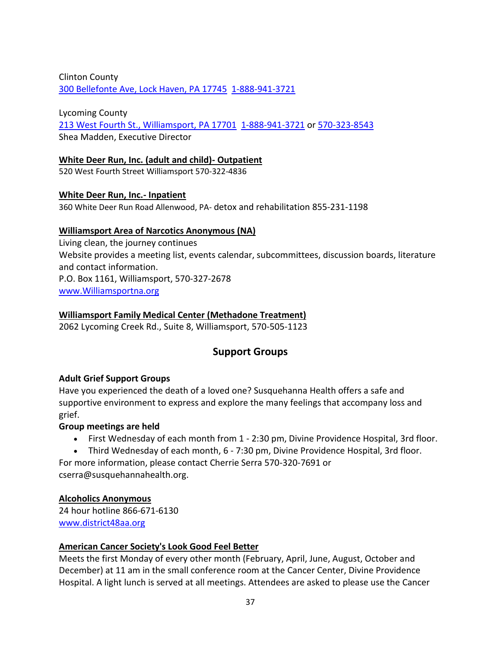Clinton County [300 Bellefonte Ave, Lock Haven, PA 17745](x-apple-data-detectors://18/1) [1-888-941-3721](tel:1-888-941-3721)

Lycoming County [213 West Fourth St., Williamsport, PA 17701](x-apple-data-detectors://19/) [1-888-941-3721](tel:1-888-941-3721) or [570-323-8543](tel:570-323-8543) Shea Madden, Executive Director

### **White Deer Run, Inc. (adult and child)- Outpatient**

520 West Fourth Street Williamsport 570-322-4836

#### **White Deer Run, Inc.- Inpatient**

360 White Deer Run Road Allenwood, PA- detox and rehabilitation 855-231-1198

#### **Williamsport Area of Narcotics Anonymous (NA)**

Living clean, the journey continues Website provides a meeting list, events calendar, subcommittees, discussion boards, literature and contact information. P.O. Box 1161, Williamsport, 570-327-2678 [www.Williamsportna.org](http://www.williamsportna.org/)

#### **Williamsport Family Medical Center (Methadone Treatment)**

2062 Lycoming Creek Rd., Suite 8, Williamsport, 570-505-1123

### **Support Groups**

#### **Adult Grief Support Groups**

Have you experienced the death of a loved one? Susquehanna Health offers a safe and supportive environment to express and explore the many feelings that accompany loss and grief.

#### **Group meetings are held**

- First Wednesday of each month from 1 2:30 pm, Divine Providence Hospital, 3rd floor.
- Third Wednesday of each month, 6 7:30 pm, Divine Providence Hospital, 3rd floor. For more information, please contact Cherrie Serra 570-320-7691 or

cserra@susquehannahealth.org.

#### **Alcoholics Anonymous**

24 hour hotline 866-671-6130 [www.district48aa.org](http://www.district48aa.org/)

### **American Cancer Society's Look Good Feel Better**

Meets the first Monday of every other month (February, April, June, August, October and December) at 11 am in the small conference room at the Cancer Center, Divine Providence Hospital. A light lunch is served at all meetings. Attendees are asked to please use the Cancer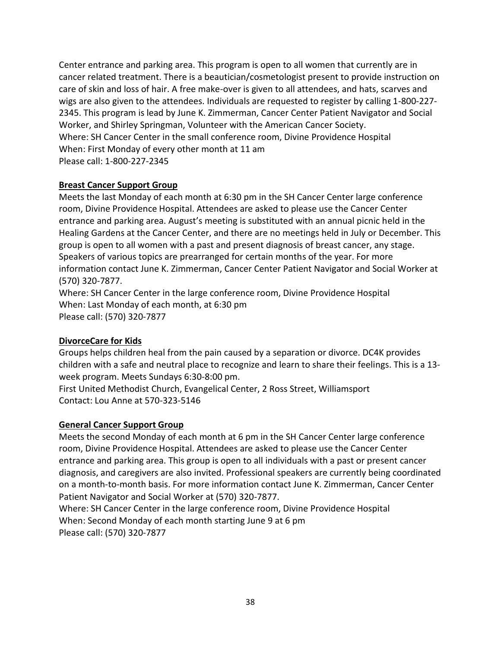Center entrance and parking area. This program is open to all women that currently are in cancer related treatment. There is a beautician/cosmetologist present to provide instruction on care of skin and loss of hair. A free make-over is given to all attendees, and hats, scarves and wigs are also given to the attendees. Individuals are requested to register by calling 1-800-227- 2345. This program is lead by June K. Zimmerman, Cancer Center Patient Navigator and Social Worker, and Shirley Springman, Volunteer with the American Cancer Society. Where: SH Cancer Center in the small conference room, Divine Providence Hospital When: First Monday of every other month at 11 am Please call: 1-800-227-2345

### **Breast Cancer Support Group**

Meets the last Monday of each month at 6:30 pm in the SH Cancer Center large conference room, Divine Providence Hospital. Attendees are asked to please use the Cancer Center entrance and parking area. August's meeting is substituted with an annual picnic held in the Healing Gardens at the Cancer Center, and there are no meetings held in July or December. This group is open to all women with a past and present diagnosis of breast cancer, any stage. Speakers of various topics are prearranged for certain months of the year. For more information contact June K. Zimmerman, Cancer Center Patient Navigator and Social Worker at (570) 320-7877.

Where: SH Cancer Center in the large conference room, Divine Providence Hospital When: Last Monday of each month, at 6:30 pm Please call: (570) 320-7877

### **DivorceCare for Kids**

Groups helps children heal from the pain caused by a separation or divorce. DC4K provides children with a safe and neutral place to recognize and learn to share their feelings. This is a 13 week program. Meets Sundays 6:30-8:00 pm.

First United Methodist Church, Evangelical Center, 2 Ross Street, Williamsport Contact: Lou Anne at 570-323-5146

### **General Cancer Support Group**

Meets the second Monday of each month at 6 pm in the SH Cancer Center large conference room, Divine Providence Hospital. Attendees are asked to please use the Cancer Center entrance and parking area. This group is open to all individuals with a past or present cancer diagnosis, and caregivers are also invited. Professional speakers are currently being coordinated on a month-to-month basis. For more information contact June K. Zimmerman, Cancer Center Patient Navigator and Social Worker at (570) 320-7877.

Where: SH Cancer Center in the large conference room, Divine Providence Hospital When: Second Monday of each month starting June 9 at 6 pm Please call: (570) 320-7877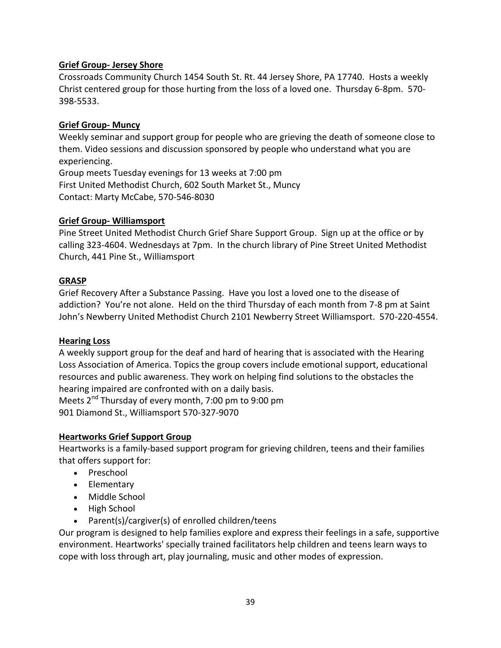#### **Grief Group- Jersey Shore**

Crossroads Community Church 1454 South St. Rt. 44 Jersey Shore, PA 17740. Hosts a weekly Christ centered group for those hurting from the loss of a loved one. Thursday 6-8pm. 570- 398-5533.

#### **Grief Group- Muncy**

Weekly seminar and support group for people who are grieving the death of someone close to them. Video sessions and discussion sponsored by people who understand what you are experiencing.

Group meets Tuesday evenings for 13 weeks at 7:00 pm First United Methodist Church, 602 South Market St., Muncy Contact: Marty McCabe, 570-546-8030

#### **Grief Group- Williamsport**

Pine Street United Methodist Church Grief Share Support Group. Sign up at the office or by calling 323-4604. Wednesdays at 7pm. In the church library of Pine Street United Methodist Church, 441 Pine St., Williamsport

#### **GRASP**

Grief Recovery After a Substance Passing. Have you lost a loved one to the disease of addiction? You're not alone. Held on the third Thursday of each month from 7-8 pm at Saint John's Newberry United Methodist Church 2101 Newberry Street Williamsport. 570-220-4554.

#### **Hearing Loss**

A weekly support group for the deaf and hard of hearing that is associated with the Hearing Loss Association of America. Topics the group covers include emotional support, educational resources and public awareness. They work on helping find solutions to the obstacles the hearing impaired are confronted with on a daily basis. Meets  $2^{nd}$  Thursday of every month, 7:00 pm to 9:00 pm 901 Diamond St., Williamsport 570-327-9070

#### **Heartworks Grief Support Group**

Heartworks is a family-based support program for grieving children, teens and their families that offers support for:

- Preschool
- Elementary
- Middle School
- High School
- Parent(s)/cargiver(s) of enrolled children/teens

Our program is designed to help families explore and express their feelings in a safe, supportive environment. Heartworks' specially trained facilitators help children and teens learn ways to cope with loss through art, play journaling, music and other modes of expression.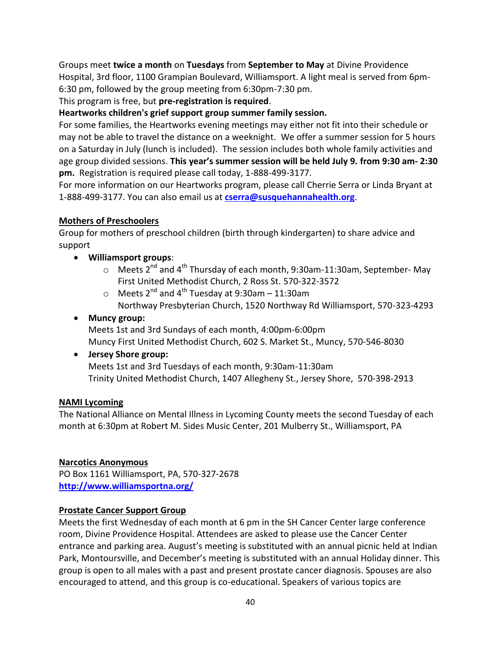Groups meet **twice a month** on **Tuesdays** from **September to May** at Divine Providence Hospital, 3rd floor, 1100 Grampian Boulevard, Williamsport. A light meal is served from 6pm-6:30 pm, followed by the group meeting from 6:30pm-7:30 pm.

This program is free, but **pre-registration is required**.

### **Heartworks children's grief support group summer family session.**

For some families, the Heartworks evening meetings may either not fit into their schedule or may not be able to travel the distance on a weeknight. We offer a summer session for 5 hours on a Saturday in July (lunch is included). The session includes both whole family activities and age group divided sessions. **This year's summer session will be held July 9. from 9:30 am- 2:30 pm.** Registration is required please call today, 1-888-499-3177.

For more information on our Heartworks program, please call Cherrie Serra or Linda Bryant at 1-888-499-3177. You can also email us at **[cserra@susquehannahealth.org](mailto:cserra@susquehannahealth.org)**.

### **Mothers of Preschoolers**

Group for mothers of preschool children (birth through kindergarten) to share advice and support

- **Williamsport groups**:
	- $\circ$  Meets 2<sup>nd</sup> and 4<sup>th</sup> Thursday of each month, 9:30am-11:30am, September- May First United Methodist Church, 2 Ross St. 570-322-3572
	- $\circ$  Meets 2<sup>nd</sup> and 4<sup>th</sup> Tuesday at 9:30am 11:30am Northway Presbyterian Church, 1520 Northway Rd Williamsport, 570-323-4293
- **Muncy group:**

Meets 1st and 3rd Sundays of each month, 4:00pm-6:00pm Muncy First United Methodist Church, 602 S. Market St., Muncy, 570-546-8030

### **Jersey Shore group:**

Meets 1st and 3rd Tuesdays of each month, 9:30am-11:30am Trinity United Methodist Church, 1407 Allegheny St., Jersey Shore, 570-398-2913

### **NAMI Lycoming**

The National Alliance on Mental Illness in Lycoming County meets the second Tuesday of each month at 6:30pm at Robert M. Sides Music Center, 201 Mulberry St., Williamsport, PA

### **Narcotics Anonymous**

PO Box 1161 Williamsport, PA, 570-327-2678 **<http://www.williamsportna.org/>**

### **Prostate Cancer Support Group**

Meets the first Wednesday of each month at 6 pm in the SH Cancer Center large conference room, Divine Providence Hospital. Attendees are asked to please use the Cancer Center entrance and parking area. August's meeting is substituted with an annual picnic held at Indian Park, Montoursville, and December's meeting is substituted with an annual Holiday dinner. This group is open to all males with a past and present prostate cancer diagnosis. Spouses are also encouraged to attend, and this group is co-educational. Speakers of various topics are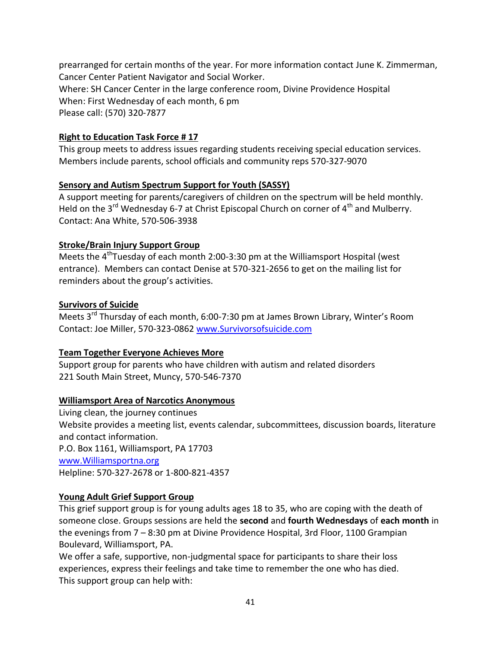prearranged for certain months of the year. For more information contact June K. Zimmerman, Cancer Center Patient Navigator and Social Worker. Where: SH Cancer Center in the large conference room, Divine Providence Hospital When: First Wednesday of each month, 6 pm Please call: (570) 320-7877

### **Right to Education Task Force # 17**

This group meets to address issues regarding students receiving special education services. Members include parents, school officials and community reps 570-327-9070

### **Sensory and Autism Spectrum Support for Youth (SASSY)**

A support meeting for parents/caregivers of children on the spectrum will be held monthly. Held on the  $3^{rd}$  Wednesday 6-7 at Christ Episcopal Church on corner of  $4^{th}$  and Mulberry. Contact: Ana White, 570-506-3938

### **Stroke/Brain Injury Support Group**

Meets the  $4^{th}$ Tuesday of each month 2:00-3:30 pm at the Williamsport Hospital (west entrance). Members can contact Denise at 570-321-2656 to get on the mailing list for reminders about the group's activities.

### **Survivors of Suicide**

Meets 3<sup>rd</sup> Thursday of each month, 6:00-7:30 pm at James Brown Library, Winter's Room Contact: Joe Miller, 570-323-0862 [www.Survivorsofsuicide.com](http://www.survivorsofsuicide.com/)

### **Team Together Everyone Achieves More**

Support group for parents who have children with autism and related disorders 221 South Main Street, Muncy, 570-546-7370

### **Williamsport Area of Narcotics Anonymous**

Living clean, the journey continues Website provides a meeting list, events calendar, subcommittees, discussion boards, literature and contact information. P.O. Box 1161, Williamsport, PA 17703 [www.Williamsportna.org](http://www.williamsportna.org/) Helpline: 570-327-2678 or 1-800-821-4357

### **Young Adult Grief Support Group**

This grief support group is for young adults ages 18 to 35, who are coping with the death of someone close. Groups sessions are held the **second** and **fourth Wednesdays** of **each month** in the evenings from 7 – 8:30 pm at Divine Providence Hospital, 3rd Floor, 1100 Grampian Boulevard, Williamsport, PA.

We offer a safe, supportive, non-judgmental space for participants to share their loss experiences, express their feelings and take time to remember the one who has died. This support group can help with: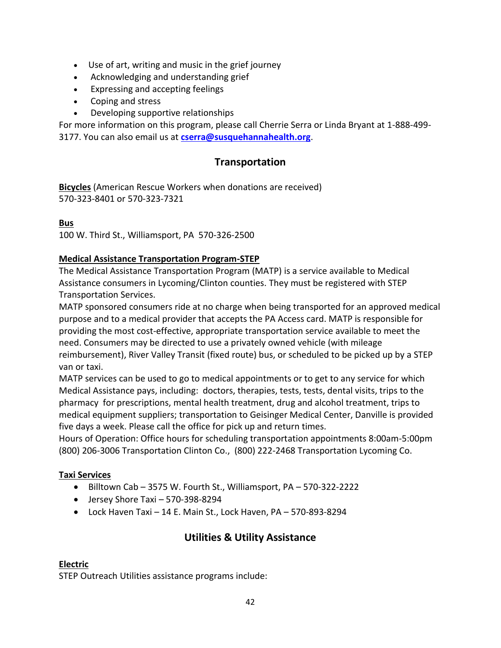- Use of art, writing and music in the grief journey
- Acknowledging and understanding grief
- Expressing and accepting feelings
- Coping and stress
- Developing supportive relationships

For more information on this program, please call Cherrie Serra or Linda Bryant at 1-888-499- 3177. You can also email us at **[cserra@susquehannahealth.org](mailto:cserra@susquehannahealth.org)**.

### **Transportation**

**Bicycles** (American Rescue Workers when donations are received) 570-323-8401 or 570-323-7321

### **Bus**

100 W. Third St., Williamsport, PA 570-326-2500

### **Medical Assistance Transportation Program-STEP**

The Medical Assistance Transportation Program (MATP) is a service available to Medical Assistance consumers in Lycoming/Clinton counties. They must be registered with STEP Transportation Services.

MATP sponsored consumers ride at no charge when being transported for an approved medical purpose and to a medical provider that accepts the PA Access card. MATP is responsible for providing the most cost-effective, appropriate transportation service available to meet the need. Consumers may be directed to use a privately owned vehicle (with mileage reimbursement), River Valley Transit (fixed route) bus, or scheduled to be picked up by a STEP van or taxi.

MATP services can be used to go to medical appointments or to get to any service for which Medical Assistance pays, including: doctors, therapies, tests, tests, dental visits, trips to the pharmacy for prescriptions, mental health treatment, drug and alcohol treatment, trips to medical equipment suppliers; transportation to Geisinger Medical Center, Danville is provided five days a week. Please call the office for pick up and return times.

Hours of Operation: Office hours for scheduling transportation appointments 8:00am-5:00pm (800) 206-3006 Transportation Clinton Co., (800) 222-2468 Transportation Lycoming Co.

### **Taxi Services**

- Billtown Cab 3575 W. Fourth St., Williamsport, PA 570-322-2222
- Jersey Shore Taxi 570-398-8294
- Lock Haven Taxi 14 E. Main St., Lock Haven, PA 570-893-8294

### **Utilities & Utility Assistance**

### **Electric**

STEP Outreach Utilities assistance programs include: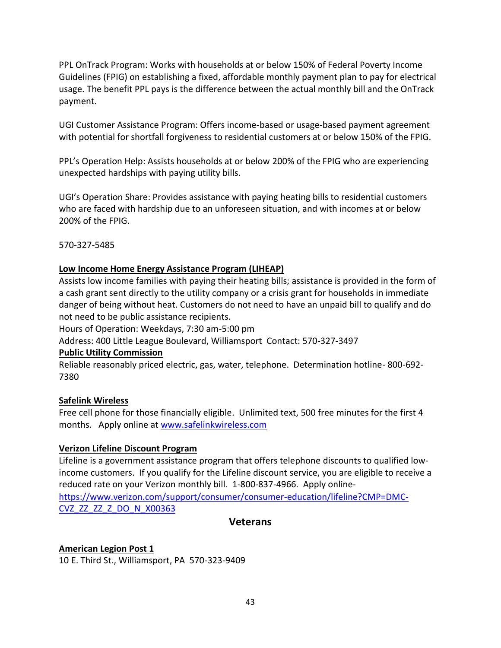PPL OnTrack Program: Works with households at or below 150% of Federal Poverty Income Guidelines (FPIG) on establishing a fixed, affordable monthly payment plan to pay for electrical usage. The benefit PPL pays is the difference between the actual monthly bill and the OnTrack payment.

UGI Customer Assistance Program: Offers income-based or usage-based payment agreement with potential for shortfall forgiveness to residential customers at or below 150% of the FPIG.

PPL's Operation Help: Assists households at or below 200% of the FPIG who are experiencing unexpected hardships with paying utility bills.

UGI's Operation Share: Provides assistance with paying heating bills to residential customers who are faced with hardship due to an unforeseen situation, and with incomes at or below 200% of the FPIG.

570-327-5485

### **Low Income Home Energy Assistance Program (LIHEAP)**

Assists low income families with paying their heating bills; assistance is provided in the form of a cash grant sent directly to the utility company or a crisis grant for households in immediate danger of being without heat. Customers do not need to have an unpaid bill to qualify and do not need to be public assistance recipients.

Hours of Operation: Weekdays, 7:30 am-5:00 pm

Address: 400 Little League Boulevard, Williamsport Contact: 570-327-3497

### **Public Utility Commission**

Reliable reasonably priced electric, gas, water, telephone. Determination hotline- 800-692- 7380

### **Safelink Wireless**

Free cell phone for those financially eligible. Unlimited text, 500 free minutes for the first 4 months. Apply online at [www.safelinkwireless.com](http://www.safelinkwireless.com/)

### **Verizon Lifeline Discount Program**

Lifeline is a government assistance program that offers telephone discounts to qualified lowincome customers. If you qualify for the Lifeline discount service, you are eligible to receive a reduced rate on your Verizon monthly bill. 1-800-837-4966. Apply online[https://www.verizon.com/support/consumer/consumer-education/lifeline?CMP=DMC-](https://www.verizon.com/support/consumer/consumer-education/lifeline?CMP=DMC-CVZ_ZZ_ZZ_Z_DO_N_X00363)[CVZ\\_ZZ\\_ZZ\\_Z\\_DO\\_N\\_X00363](https://www.verizon.com/support/consumer/consumer-education/lifeline?CMP=DMC-CVZ_ZZ_ZZ_Z_DO_N_X00363)

### **Veterans**

### **American Legion Post 1**

10 E. Third St., Williamsport, PA 570-323-9409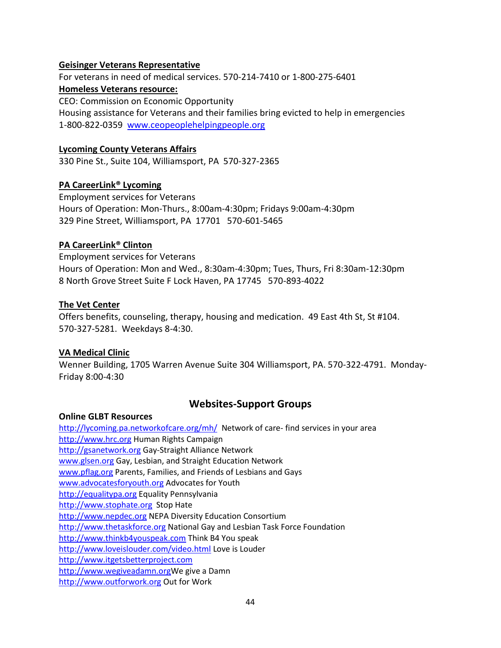#### **Geisinger Veterans Representative**

For veterans in need of medical services. 570-214-7410 or 1-800-275-6401

### **Homeless Veterans resource:**

CEO: Commission on Economic Opportunity Housing assistance for Veterans and their families bring evicted to help in emergencies 1-800-822-0359 [www.ceopeoplehelpingpeople.org](http://www.ceopeoplehelpingpeople.org/)

#### **Lycoming County Veterans Affairs**

330 Pine St., Suite 104, Williamsport, PA 570-327-2365

#### **PA CareerLink® Lycoming**

Employment services for Veterans Hours of Operation: Mon-Thurs., 8:00am-4:30pm; Fridays 9:00am-4:30pm 329 Pine Street, Williamsport, PA 17701 570-601-5465

#### **PA CareerLink® Clinton**

Employment services for Veterans Hours of Operation: Mon and Wed., 8:30am-4:30pm; Tues, Thurs, Fri 8:30am-12:30pm 8 North Grove Street Suite F Lock Haven, PA 17745 570-893-4022

#### **The Vet Center**

Offers benefits, counseling, therapy, housing and medication. 49 East 4th St, St #104. 570-327-5281. Weekdays 8-4:30.

#### **VA Medical Clinic**

Wenner Building, 1705 Warren Avenue Suite 304 Williamsport, PA. 570-322-4791. Monday-Friday 8:00-4:30

### **Websites-Support Groups**

#### **Online GLBT Resources**

<http://lycoming.pa.networkofcare.org/mh/>Network of care- find services in your area [http://www.hrc.org](http://www.hrc.org/) Human Rights Campaign [http://gsanetwork.org](http://gsanetwork.org/) Gay-Straight Alliance Network [www.glsen.org](http://www.glsen.org/) Gay, Lesbian, and Straight Education Network [www.pflag.org](http://www.pflag.org/) Parents, Families, and Friends of Lesbians and Gays [www.advocatesforyouth.org](http://www.advocatesforyouth.org/) Advocates for Youth [http://equalitypa.org](http://equalitypa.org/) Equality Pennsylvania [http://www.stophate.org](http://www.stophate.org/) Stop Hate [http://www.nepdec.org](http://www.nepdec.org/) NEPA Diversity Education Consortium [http://www.thetaskforce.org](http://www.thetaskforce.org/) National Gay and Lesbian Task Force Foundation [http://www.thinkb4youspeak.com](http://www.thinkb4youspeak.com/) Think B4 You speak <http://www.loveislouder.com/video.html> Love is Louder [http://www.itgetsbetterproject.com](http://www.itgetsbetterproject.com/) [http://www.wegiveadamn.orgW](http://www.wegiveadamn.org/)e give a Damn [http://www.outforwork.org](http://www.outforwork.org/) Out for Work